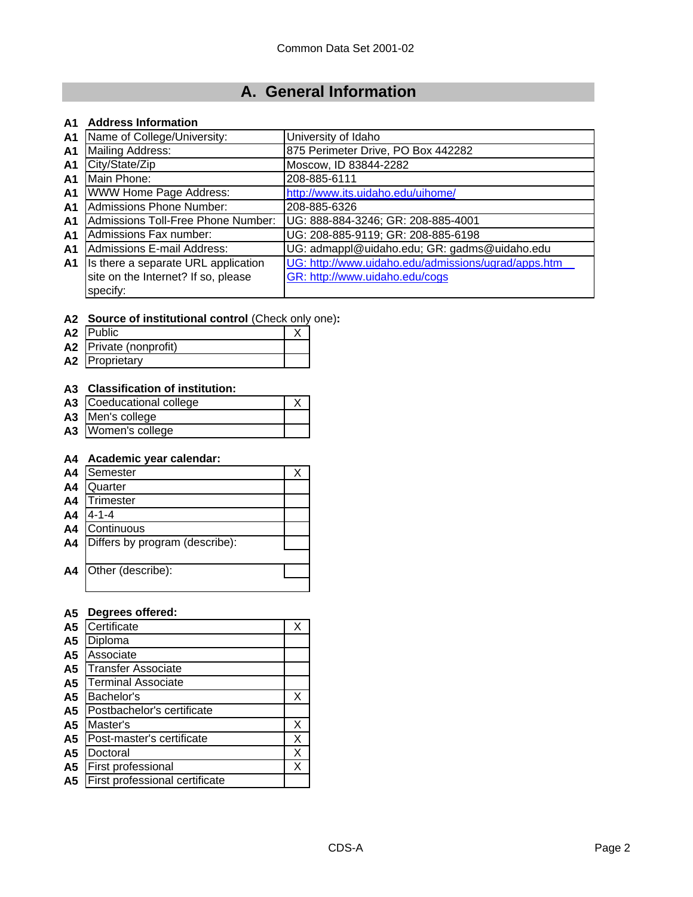# **A. General Information**

### **A1 Address Information**

| A <sub>1</sub> | Name of College/University:         | University of Idaho                                 |
|----------------|-------------------------------------|-----------------------------------------------------|
| A <sub>1</sub> | Mailing Address:                    | 875 Perimeter Drive, PO Box 442282                  |
| A <sub>1</sub> | City/State/Zip                      | Moscow, ID 83844-2282                               |
| A <sub>1</sub> | Main Phone:                         | 208-885-6111                                        |
| A <sub>1</sub> | <b>WWW Home Page Address:</b>       | http://www.its.uidaho.edu/uihome/                   |
| A <sub>1</sub> | Admissions Phone Number:            | 208-885-6326                                        |
| A <sub>1</sub> | Admissions Toll-Free Phone Number:  | UG: 888-884-3246; GR: 208-885-4001                  |
| A <sub>1</sub> | Admissions Fax number:              | UG: 208-885-9119; GR: 208-885-6198                  |
| A <sub>1</sub> | Admissions E-mail Address:          | UG: admappl@uidaho.edu; GR: gadms@uidaho.edu        |
| A1             | Is there a separate URL application | UG: http://www.uidaho.edu/admissions/ugrad/apps.htm |
|                | site on the Internet? If so, please | GR: http://www.uidaho.edu/cogs                      |
|                | specify:                            |                                                     |

#### **A2 Source of institutional control** (Check only one)**:**

| A2 Public              |  |
|------------------------|--|
| A2 Private (nonprofit) |  |
| A2 Proprietary         |  |

## **A3 Classification of institution:**

| A3 Coeducational college |  |
|--------------------------|--|
| A3 Men's college         |  |
| A3   Women's college     |  |

### **A4 Academic year calendar:**

| A4             | Semester                       |  |
|----------------|--------------------------------|--|
| A <sub>4</sub> | Quarter                        |  |
| A <sub>4</sub> | Trimester                      |  |
| A4             | $4 - 1 - 4$                    |  |
| A4             | Continuous                     |  |
| A4             | Differs by program (describe): |  |
|                |                                |  |
| A4             | Other (describe):              |  |
|                |                                |  |

## **A5 Degrees offered:**

| A <sub>5</sub> | Certificate                    | Χ |
|----------------|--------------------------------|---|
| A <sub>5</sub> | Diploma                        |   |
| A <sub>5</sub> | Associate                      |   |
| A <sub>5</sub> | <b>Transfer Associate</b>      |   |
| A <sub>5</sub> | <b>Terminal Associate</b>      |   |
| A <sub>5</sub> | Bachelor's                     | х |
| A <sub>5</sub> | Postbachelor's certificate     |   |
| A <sub>5</sub> | Master's                       | Χ |
| A <sub>5</sub> | Post-master's certificate      | Х |
| A <sub>5</sub> | Doctoral                       | Х |
| A <sub>5</sub> | First professional             | Х |
| A5             | First professional certificate |   |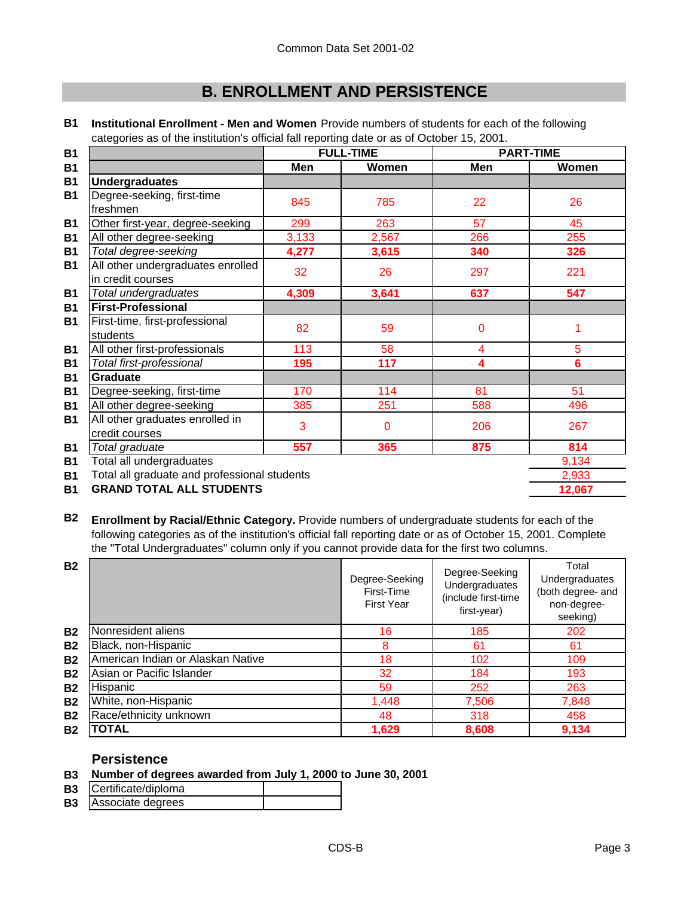# **B. ENROLLMENT AND PERSISTENCE**

|                                                        |       | <b>FULL-TIME</b> |     | <b>PART-TIME</b> |
|--------------------------------------------------------|-------|------------------|-----|------------------|
|                                                        | Men   | Women            | Men | Women            |
| <b>Undergraduates</b>                                  |       |                  |     |                  |
| Degree-seeking, first-time<br>freshmen                 | 845   | 785              | 22  | 26               |
| Other first-year, degree-seeking                       | 299   | 263              | 57  | 45               |
| All other degree-seeking                               | 3,133 | 2,567            | 266 | 255              |
| Total degree-seeking                                   | 4,277 | 3,615            | 340 | 326              |
| All other undergraduates enrolled<br>in credit courses | 32    | 26               | 297 | 221              |
| Total undergraduates                                   | 4,309 | 3,641            | 637 | 547              |
| <b>First-Professional</b>                              |       |                  |     |                  |
| First-time, first-professional<br>students             | 82    | 59               | 0   |                  |
| All other first-professionals                          | 113   | 58               | 4   | 5                |
| Total first-professional                               | 195   | 117              | 4   | 6                |
| <b>Graduate</b>                                        |       |                  |     |                  |
| Degree-seeking, first-time                             | 170   | 114              | 81  | 51               |
| All other degree-seeking                               | 385   | 251              | 588 | 496              |
| All other graduates enrolled in<br>credit courses      | 3     | $\mathbf 0$      | 206 | 267              |
| Total graduate                                         | 557   | 365              | 875 | 814              |
| Total all undergraduates                               |       |                  |     | 9,134            |
| Total all graduate and professional students           |       |                  |     | 2,933            |
|                                                        |       |                  |     |                  |

**B1 Institutional Enrollment - Men and Women** Provide numbers of students for each of the following categories as of the institution's official fall reporting date or as of October 15, 2001.

**B1 12,067 GRAND TOTAL ALL STUDENTS**

**B2 Enrollment by Racial/Ethnic Category.** Provide numbers of undergraduate students for each of the following categories as of the institution's official fall reporting date or as of October 15, 2001. Complete the "Total Undergraduates" column only if you cannot provide data for the first two columns.

| <b>B2</b> |                                   | Degree-Seeking<br>First-Time<br><b>First Year</b> | Degree-Seeking<br>Undergraduates<br>(include first-time<br>first-year) | Total<br>Undergraduates<br>(both degree- and<br>non-degree-<br>seeking) |
|-----------|-----------------------------------|---------------------------------------------------|------------------------------------------------------------------------|-------------------------------------------------------------------------|
| <b>B2</b> | Nonresident aliens                | 16                                                | 185                                                                    | 202                                                                     |
| <b>B2</b> | Black, non-Hispanic               | 8                                                 | 61                                                                     | 61                                                                      |
| <b>B2</b> | American Indian or Alaskan Native | 18                                                | 102                                                                    | 109                                                                     |
| <b>B2</b> | Asian or Pacific Islander         | 32                                                | 184                                                                    | 193                                                                     |
| <b>B2</b> | Hispanic                          | 59                                                | 252                                                                    | 263                                                                     |
| <b>B2</b> | White, non-Hispanic               | 1,448                                             | 7,506                                                                  | 7,848                                                                   |
| <b>B2</b> | Race/ethnicity unknown            | 48                                                | 318                                                                    | 458                                                                     |
| <b>B2</b> | TOTAL                             | 1,629                                             | 8,608                                                                  | 9,134                                                                   |

## **Persistence**

## **B3 Number of degrees awarded from July 1, 2000 to June 30, 2001**

| <b>B3</b> | Certificate/diploma |  |
|-----------|---------------------|--|
| <b>B3</b> | Associate degrees   |  |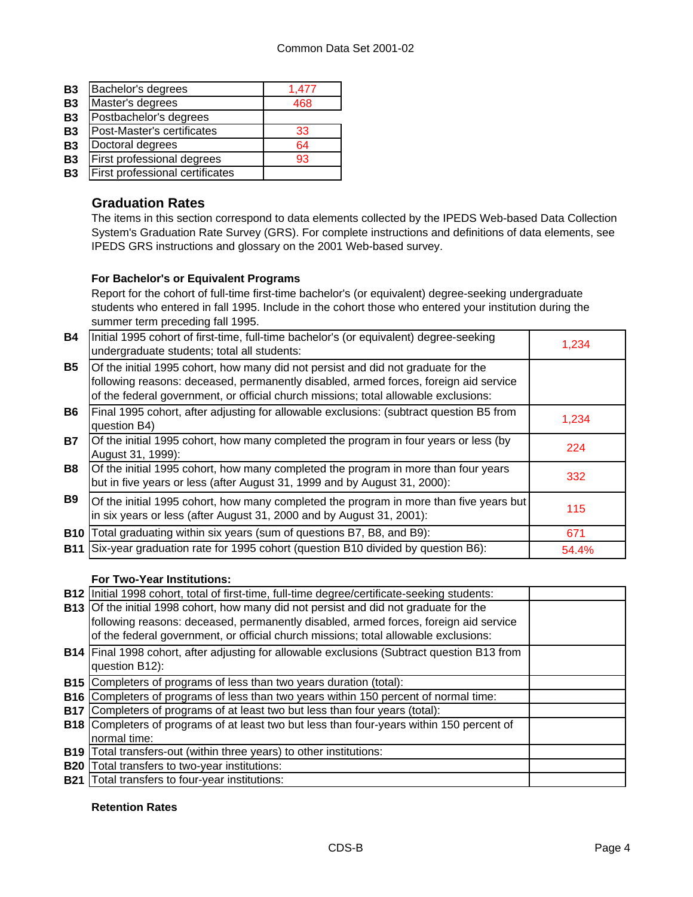| <b>B3</b> | Bachelor's degrees              | 1,477 |
|-----------|---------------------------------|-------|
| <b>B3</b> | Master's degrees                | 468   |
| <b>B3</b> | Postbachelor's degrees          |       |
| <b>B3</b> | Post-Master's certificates      | 33    |
| <b>B3</b> | Doctoral degrees                | 64    |
| <b>B3</b> | First professional degrees      | 93    |
| <b>B3</b> | First professional certificates |       |
|           |                                 |       |

## **Graduation Rates**

The items in this section correspond to data elements collected by the IPEDS Web-based Data Collection System's Graduation Rate Survey (GRS). For complete instructions and definitions of data elements, see IPEDS GRS instructions and glossary on the 2001 Web-based survey.

## **For Bachelor's or Equivalent Programs**

Report for the cohort of full-time first-time bachelor's (or equivalent) degree-seeking undergraduate students who entered in fall 1995. Include in the cohort those who entered your institution during the summer term preceding fall 1995.

| <b>B4</b>  | Initial 1995 cohort of first-time, full-time bachelor's (or equivalent) degree-seeking<br>undergraduate students; total all students:                                                                                                                            | 1,234 |
|------------|------------------------------------------------------------------------------------------------------------------------------------------------------------------------------------------------------------------------------------------------------------------|-------|
| <b>B5</b>  | Of the initial 1995 cohort, how many did not persist and did not graduate for the<br>following reasons: deceased, permanently disabled, armed forces, foreign aid service<br>of the federal government, or official church missions; total allowable exclusions: |       |
| <b>B6</b>  | Final 1995 cohort, after adjusting for allowable exclusions: (subtract question B5 from<br>question B4)                                                                                                                                                          | 1,234 |
| <b>B7</b>  | Of the initial 1995 cohort, how many completed the program in four years or less (by<br>August 31, 1999):                                                                                                                                                        | 224   |
| <b>B8</b>  | Of the initial 1995 cohort, how many completed the program in more than four years<br>but in five years or less (after August 31, 1999 and by August 31, 2000):                                                                                                  | 332   |
| <b>B9</b>  | Of the initial 1995 cohort, how many completed the program in more than five years but<br>in six years or less (after August 31, 2000 and by August 31, 2001):                                                                                                   | 115   |
| <b>B10</b> | Total graduating within six years (sum of questions B7, B8, and B9):                                                                                                                                                                                             | 671   |
| <b>B11</b> | Six-year graduation rate for 1995 cohort (question B10 divided by question B6):                                                                                                                                                                                  | 54.4% |

## **For Two-Year Institutions:**

|            | B12 Initial 1998 cohort, total of first-time, full-time degree/certificate-seeking students:     |  |
|------------|--------------------------------------------------------------------------------------------------|--|
|            | B13 Of the initial 1998 cohort, how many did not persist and did not graduate for the            |  |
|            | following reasons: deceased, permanently disabled, armed forces, foreign aid service             |  |
|            | of the federal government, or official church missions; total allowable exclusions:              |  |
|            | B14   Final 1998 cohort, after adjusting for allowable exclusions (Subtract question B13 from    |  |
|            | question B12):                                                                                   |  |
|            | <b>B15</b> Completers of programs of less than two years duration (total):                       |  |
| <b>B16</b> | Completers of programs of less than two years within 150 percent of normal time:                 |  |
|            | <b>B17</b> Completers of programs of at least two but less than four years (total):              |  |
|            | <b>B18</b> Completers of programs of at least two but less than four-years within 150 percent of |  |
|            | normal time:                                                                                     |  |
| <b>B19</b> | Total transfers-out (within three years) to other institutions:                                  |  |
| <b>B20</b> | Total transfers to two-year institutions:                                                        |  |
| <b>B21</b> | Total transfers to four-year institutions:                                                       |  |

### **Retention Rates**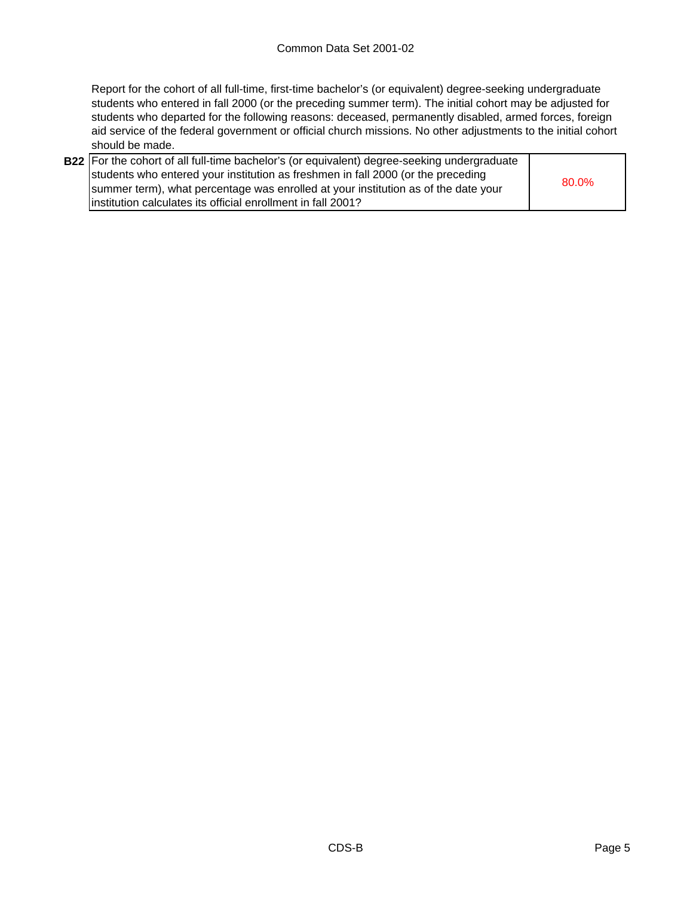Report for the cohort of all full-time, first-time bachelor's (or equivalent) degree-seeking undergraduate students who entered in fall 2000 (or the preceding summer term). The initial cohort may be adjusted for students who departed for the following reasons: deceased, permanently disabled, armed forces, foreign aid service of the federal government or official church missions. No other adjustments to the initial cohort should be made.

| <b>B22</b> For the cohort of all full-time bachelor's (or equivalent) degree-seeking undergraduate |       |
|----------------------------------------------------------------------------------------------------|-------|
| students who entered your institution as freshmen in fall 2000 (or the preceding                   |       |
| summer term), what percentage was enrolled at your institution as of the date your                 | 80.0% |
| linstitution calculates its official enrollment in fall 2001?                                      |       |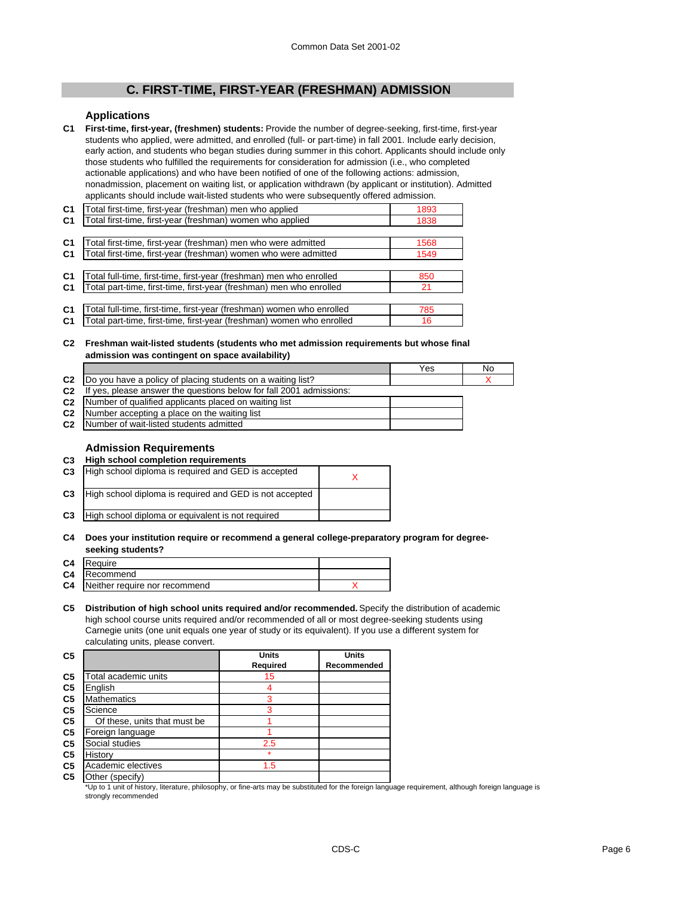## **C. FIRST-TIME, FIRST-YEAR (FRESHMAN) ADMISSION**

#### **Applications**

**C1 First-time, first-year, (freshmen) students:** Provide the number of degree-seeking, first-time, first-year students who applied, were admitted, and enrolled (full- or part-time) in fall 2001. Include early decision, early action, and students who began studies during summer in this cohort. Applicants should include only those students who fulfilled the requirements for consideration for admission (i.e., who completed actionable applications) and who have been notified of one of the following actions: admission, nonadmission, placement on waiting list, or application withdrawn (by applicant or institution). Admitted applicants should include wait-listed students who were subsequently offered admission.

| C <sub>1</sub> | Total first-time, first-year (freshman) men who applied               | 1893 |
|----------------|-----------------------------------------------------------------------|------|
| C <sub>1</sub> | Total first-time, first-year (freshman) women who applied             | 1838 |
|                |                                                                       |      |
| C <sub>1</sub> | Total first-time, first-year (freshman) men who were admitted         | 1568 |
| C <sub>1</sub> | Total first-time, first-year (freshman) women who were admitted       | 1549 |
|                |                                                                       |      |
| C <sub>1</sub> | Total full-time, first-time, first-year (freshman) men who enrolled   | 850  |
| C <sub>1</sub> | Total part-time, first-time, first-year (freshman) men who enrolled   | 21   |
|                |                                                                       |      |
| C <sub>1</sub> | Total full-time, first-time, first-year (freshman) women who enrolled | 785  |
| C <sub>1</sub> | Total part-time, first-time, first-year (freshman) women who enrolled | 16   |

#### **C2 Freshman wait-listed students (students who met admission requirements but whose final admission was contingent on space availability)**

|                                                                                    | Yes | No |
|------------------------------------------------------------------------------------|-----|----|
| C2  Do you have a policy of placing students on a waiting list?                    |     |    |
| C <sub>2</sub> If yes, please answer the questions below for fall 2001 admissions: |     |    |
| C <sub>2</sub> Number of qualified applicants placed on waiting list               |     |    |
| <b>C2</b> Number accepting a place on the waiting list                             |     |    |
| <b>C2</b> Number of wait-listed students admitted                                  |     |    |

#### **Admission Requirements**

#### **C3 High school completion requirements**

| C <sub>3</sub> | High school diploma is required and GED is accepted     |  |
|----------------|---------------------------------------------------------|--|
| C <sub>3</sub> | High school diploma is required and GED is not accepted |  |
| C <sub>3</sub> | High school diploma or equivalent is not required       |  |
|                |                                                         |  |

#### **C4 Does your institution require or recommend a general college-preparatory program for degreeseeking students?**

| C <sub>4</sub> | Require                       |  |
|----------------|-------------------------------|--|
| C <sub>4</sub> | Recommend                     |  |
| C <sub>4</sub> | Neither require nor recommend |  |

**C5 Distribution of high school units required and/or recommended.** Specify the distribution of academic high school course units required and/or recommended of all or most degree-seeking students using Carnegie units (one unit equals one year of study or its equivalent). If you use a different system for calculating units, please convert.

| C <sub>5</sub> |                              | <b>Units</b> | <b>Units</b> |
|----------------|------------------------------|--------------|--------------|
|                |                              | Required     | Recommended  |
| C <sub>5</sub> | Total academic units         | 15           |              |
| C <sub>5</sub> | English                      |              |              |
| C <sub>5</sub> | <b>Mathematics</b>           | 3            |              |
| C <sub>5</sub> | Science                      | 3            |              |
| C <sub>5</sub> | Of these, units that must be |              |              |
| C <sub>5</sub> | Foreign language             |              |              |
| C <sub>5</sub> | Social studies               | 2.5          |              |
| C <sub>5</sub> | History                      |              |              |
| C <sub>5</sub> | Academic electives           | 1.5          |              |
| C <sub>5</sub> | Other (specify)              |              |              |

\*Up to 1 unit of history, literature, philosophy, or fine-arts may be substituted for the foreign language requirement, although foreign language is strongly recommended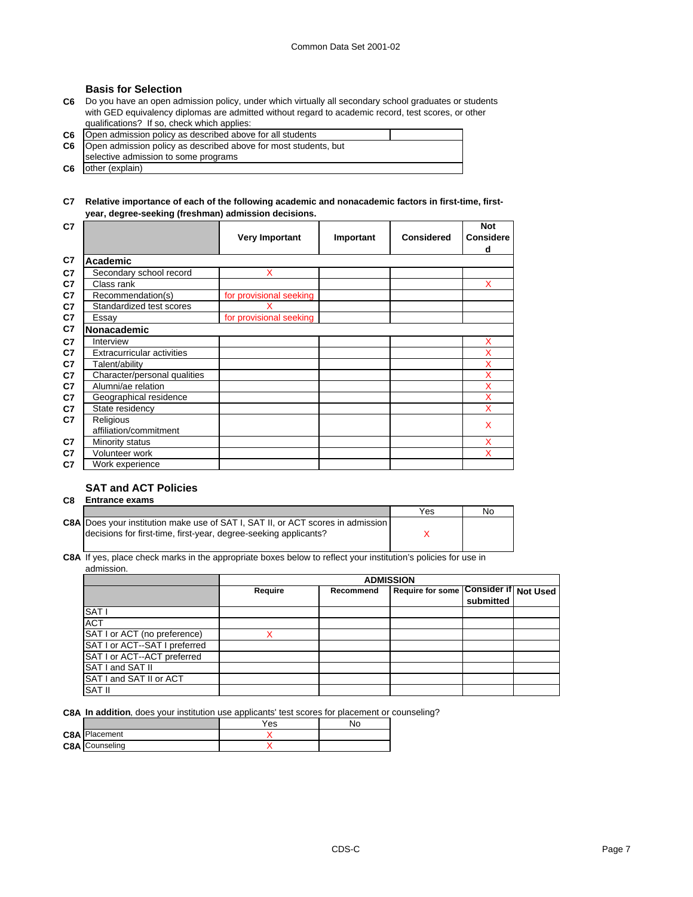#### **Basis for Selection**

**C6** Do you have an open admission policy, under which virtually all secondary school graduates or students with GED equivalency diplomas are admitted without regard to academic record, test scores, or other qualifications? If so, check which applies:

| C6   Open admission policy as described above for all students            |  |
|---------------------------------------------------------------------------|--|
| <b>C6</b> Open admission policy as described above for most students, but |  |
| selective admission to some programs                                      |  |
| <b>C6</b> other (explain)                                                 |  |

#### **C7 Relative importance of each of the following academic and nonacademic factors in first-time, firstyear, degree-seeking (freshman) admission decisions.**

| C7 |                                   |                         |           |                   | <b>Not</b>       |
|----|-----------------------------------|-------------------------|-----------|-------------------|------------------|
|    |                                   | <b>Very Important</b>   | Important | <b>Considered</b> | <b>Considere</b> |
|    |                                   |                         |           |                   | d                |
| C7 | Academic                          |                         |           |                   |                  |
| C7 | Secondary school record           | X                       |           |                   |                  |
| C7 | Class rank                        |                         |           |                   | X                |
| C7 | Recommendation(s)                 | for provisional seeking |           |                   |                  |
| C7 | Standardized test scores          |                         |           |                   |                  |
| C7 | Essay                             | for provisional seeking |           |                   |                  |
| C7 | Nonacademic                       |                         |           |                   |                  |
| C7 | Interview                         |                         |           |                   | X                |
| C7 | <b>Extracurricular activities</b> |                         |           |                   | x                |
| C7 | Talent/ability                    |                         |           |                   | X                |
| C7 | Character/personal qualities      |                         |           |                   | X                |
| C7 | Alumni/ae relation                |                         |           |                   | X                |
| C7 | Geographical residence            |                         |           |                   | X                |
| C7 | State residency                   |                         |           |                   | X                |
| C7 | Religious                         |                         |           |                   | X                |
|    | affiliation/commitment            |                         |           |                   |                  |
| C7 | Minority status                   |                         |           |                   | X                |
| C7 | Volunteer work                    |                         |           |                   | X                |
| C7 | Work experience                   |                         |           |                   |                  |

#### **SAT and ACT Policies**

| C8 | <b>Entrance exams</b>                                                                  |     |    |  |  |
|----|----------------------------------------------------------------------------------------|-----|----|--|--|
|    |                                                                                        | Yes | No |  |  |
|    | <b>C8A</b> Does your institution make use of SAT I, SAT II, or ACT scores in admission |     |    |  |  |
|    | decisions for first-time, first-year, degree-seeking applicants?                       |     |    |  |  |
|    |                                                                                        |     |    |  |  |

**C8A** If yes, place check marks in the appropriate boxes below to reflect your institution's policies for use in admission.

|                               | <b>ADMISSION</b> |           |                                       |           |  |
|-------------------------------|------------------|-----------|---------------------------------------|-----------|--|
|                               | Require          | Recommend | Require for some Consider if Not Used | submitted |  |
| SAT <sub>I</sub>              |                  |           |                                       |           |  |
| <b>ACT</b>                    |                  |           |                                       |           |  |
| SAT I or ACT (no preference)  |                  |           |                                       |           |  |
| SAT I or ACT--SAT I preferred |                  |           |                                       |           |  |
| SAT I or ACT--ACT preferred   |                  |           |                                       |           |  |
| SAT I and SAT II              |                  |           |                                       |           |  |
| SAT I and SAT II or ACT       |                  |           |                                       |           |  |
| <b>SAT II</b>                 |                  |           |                                       |           |  |

**C8A In addition**, does your institution use applicants' test scores for placement or counseling?

|                       | Yes | Νo |
|-----------------------|-----|----|
| <b>C8A</b> Placement  |     |    |
| <b>C8A</b> Counseling |     |    |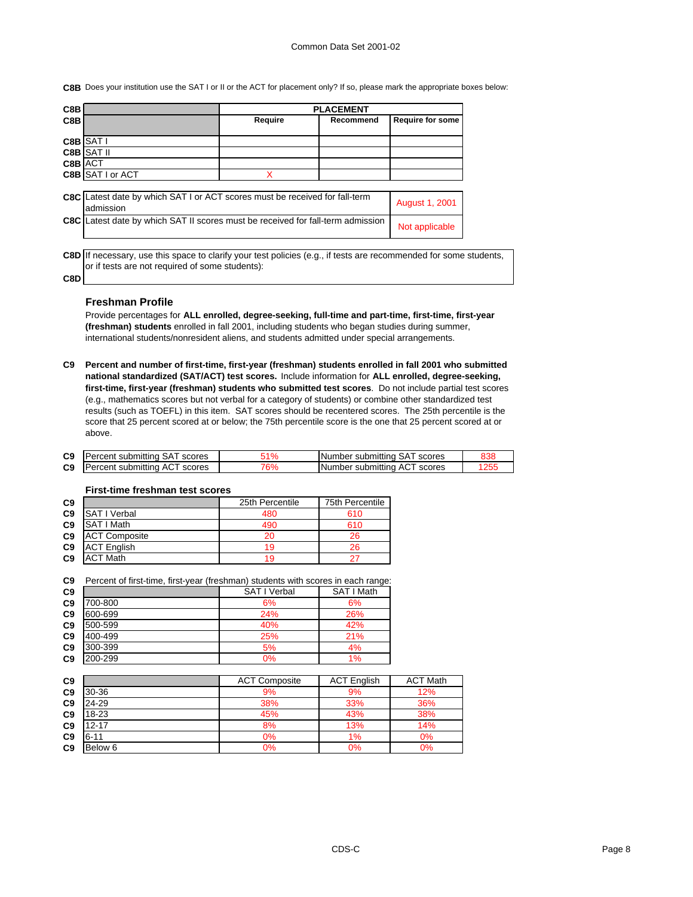**C8B** Does your institution use the SAT I or II or the ACT for placement only? If so, please mark the appropriate boxes below:

| C8B            |                                                                             | <b>PLACEMENT</b> |           |                         |  |
|----------------|-----------------------------------------------------------------------------|------------------|-----------|-------------------------|--|
| C8B            |                                                                             | Require          | Recommend | <b>Require for some</b> |  |
|                |                                                                             |                  |           |                         |  |
| C8B            | SAT I                                                                       |                  |           |                         |  |
| C8B            | <b>SAT II</b>                                                               |                  |           |                         |  |
| <b>C8B ACT</b> |                                                                             |                  |           |                         |  |
|                | <b>C8B SATI or ACT</b>                                                      | x                |           |                         |  |
|                |                                                                             |                  |           |                         |  |
| C8C            | Latest date by which SAT I or ACT scores must be received for fall-term     |                  |           |                         |  |
|                | admission                                                                   |                  |           | August 1, 2001          |  |
| C8C            | Latest date by which SAT II scores must be received for fall-term admission |                  |           |                         |  |
|                |                                                                             |                  |           | Not applicable          |  |
|                |                                                                             |                  |           |                         |  |

**C8D** If necessary, use this space to clarify your test policies (e.g., if tests are recommended for some students, or if tests are not required of some students):

# **C8D**

#### **Freshman Profile**

Provide percentages for **ALL enrolled, degree-seeking, full-time and part-time, first-time, first-year (freshman) students** enrolled in fall 2001, including students who began studies during summer, international students/nonresident aliens, and students admitted under special arrangements.

**C9 Percent and number of first-time, first-year (freshman) students enrolled in fall 2001 who submitted national standardized (SAT/ACT) test scores.** Include information for **ALL enrolled, degree-seeking, first-time, first-year (freshman) students who submitted test scores**. Do not include partial test scores (e.g., mathematics scores but not verbal for a category of students) or combine other standardized test results (such as TOEFL) in this item. SAT scores should be recentered scores. The 25th percentile is the score that 25 percent scored at or below; the 75th percentile score is the one that 25 percent scored at or above.

| C <sub>9</sub> | <b>IPercent submitting SAT scores</b> | ้1% | Number submitting SAT scores  | 838 |
|----------------|---------------------------------------|-----|-------------------------------|-----|
| C <sub>9</sub> | Percent submitting ACT scores         | '6% | INumber submitting ACT scores | 255 |

#### **C9 25th Percentile** 75th Percentile **C9** SAT I Verbal 480 610<br> **C9** SAT I Math 490 610 **C9** SAT I Math 490 610<br> **C9** ACT Composite 20 26 **C9** ACT Composite 20 26<br> **C9** ACT English 19 26 **ACT English**

**C9** ACT Math 19 19 27

#### **First-time freshman test scores**

| C9 Percent of first-time, first-year (freshman) students with scores in each range: |  |  |  |  |
|-------------------------------------------------------------------------------------|--|--|--|--|
|                                                                                     |  |  |  |  |

| C <sub>9</sub> |         | SAT I Verbal | SAT I Math |
|----------------|---------|--------------|------------|
| C <sub>9</sub> | 700-800 | 6%           | 6%         |
| C <sub>9</sub> | 600-699 | 24%          | 26%        |
| C <sub>9</sub> | 500-599 | 40%          | 42%        |
| C <sub>9</sub> | 400-499 | 25%          | 21%        |
| C <sub>9</sub> | 300-399 | 5%           | 4%         |
| C <sub>9</sub> | 200-299 | 0%           | 1%         |

| C <sub>9</sub> |           | <b>ACT Composite</b> | <b>ACT English</b> | <b>ACT Math</b> |
|----------------|-----------|----------------------|--------------------|-----------------|
| C <sub>9</sub> | 30-36     | 9%                   | 9%                 | 12%             |
| C <sub>9</sub> | 24-29     | 38%                  | 33%                | 36%             |
| C <sub>9</sub> | 18-23     | 45%                  | 43%                | 38%             |
| C <sub>9</sub> | $12 - 17$ | 8%                   | 13%                | 14%             |
| C <sub>9</sub> | $6 - 11$  | 0%                   | 1%                 | 0%              |
| C <sub>9</sub> | Below 6   | 0%                   | 0%                 | 0%              |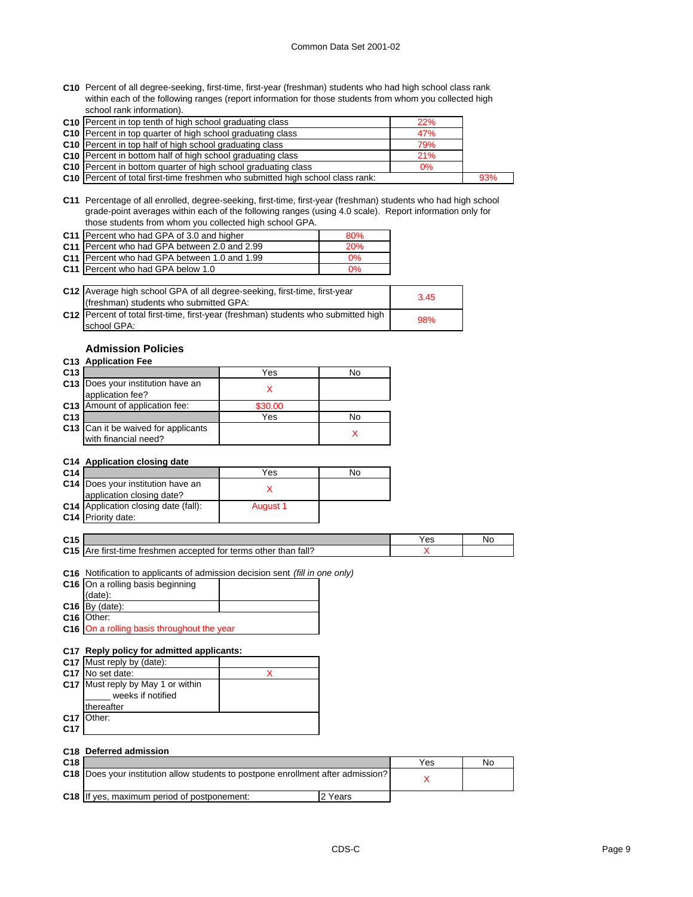**C10** Percent of all degree-seeking, first-time, first-year (freshman) students who had high school class rank within each of the following ranges (report information for those students from whom you collected high school rank information).

| C10 Percent in top tenth of high school graduating class                              | 22%   |     |
|---------------------------------------------------------------------------------------|-------|-----|
| C10 Percent in top quarter of high school graduating class                            | 47%   |     |
| C10 Percent in top half of high school graduating class                               | 79%   |     |
| C10 Percent in bottom half of high school graduating class                            | 21%   |     |
| C <sub>10</sub> Percent in bottom quarter of high school graduating class             | $0\%$ |     |
| <b>C10</b> Percent of total first-time freshmen who submitted high school class rank: |       | 93% |

**C11** Percentage of all enrolled, degree-seeking, first-time, first-year (freshman) students who had high school grade-point averages within each of the following ranges (using 4.0 scale). Report information only for those students from whom you collected high school GPA.

| C11 Percent who had GPA of 3.0 and higher    | 80%        |
|----------------------------------------------|------------|
| C11 Percent who had GPA between 2.0 and 2.99 | <b>20%</b> |
| C11 Percent who had GPA between 1.0 and 1.99 | $0\%$      |
| C11 Percent who had GPA below 1.0            | $0\%$      |

| C12 Average high school GPA of all degree-seeking, first-time, first-year<br>(freshman) students who submitted GPA: | 3.45 |
|---------------------------------------------------------------------------------------------------------------------|------|
| C12   Percent of total first-time, first-year (freshman) students who submitted high<br>school GPA:                 | 98%  |

#### **Admission Policies**

#### **C13 Application Fee**

| C <sub>13</sub> |                                                                    | Yes     | No |
|-----------------|--------------------------------------------------------------------|---------|----|
|                 | C13 Does your institution have an<br>application fee?              |         |    |
|                 | <b>C13</b> Amount of application fee:                              | \$30.00 |    |
| C <sub>13</sub> |                                                                    | Yes     | No |
|                 | <b>C13</b> Can it be waived for applicants<br>with financial need? |         |    |

#### **C14 Application closing date**

| C <sub>14</sub> |                                             | Yes      | No |
|-----------------|---------------------------------------------|----------|----|
|                 | C14 Does your institution have an           |          |    |
|                 | application closing date?                   |          |    |
|                 | <b>C14</b> Application closing date (fall): | August 1 |    |
|                 | C <sub>14</sub> Priority date:              |          |    |

| ۰.<br>v |  |  |
|---------|--|--|
|         |  |  |
|         |  |  |

| C4E<br>. Ju     |                                                                               | es' | N. |
|-----------------|-------------------------------------------------------------------------------|-----|----|
| C <sub>15</sub> | fall?<br>Δra<br>treshmen accepted<br>terms<br>other than<br>tor<br>tirst-time |     |    |

**C16** Notification to applicants of admission decision sent *(fill in one only)*

| C16 On a rolling basis beginning |  |
|----------------------------------|--|
| (data):                          |  |
| $C16$ By (date):                 |  |
| C16 Other:                       |  |

**C16** On a rolling basis throughout the year

#### **C17 Reply policy for admitted applicants:**

|     | C17 Must reply by (date):                              |  |
|-----|--------------------------------------------------------|--|
|     | C17 No set date:                                       |  |
|     | C17 Must reply by May 1 or within<br>weeks if notified |  |
|     | thereafter                                             |  |
|     | C17 Other:                                             |  |
| C17 |                                                        |  |

|                 | C <sub>18</sub> Deferred admission                                                      |         |     |    |
|-----------------|-----------------------------------------------------------------------------------------|---------|-----|----|
| C <sub>18</sub> |                                                                                         |         | Yes | No |
|                 | <b>C18</b> Does your institution allow students to postpone enrollment after admission? |         |     |    |
|                 | C18 If yes, maximum period of postponement:                                             | 2 Years |     |    |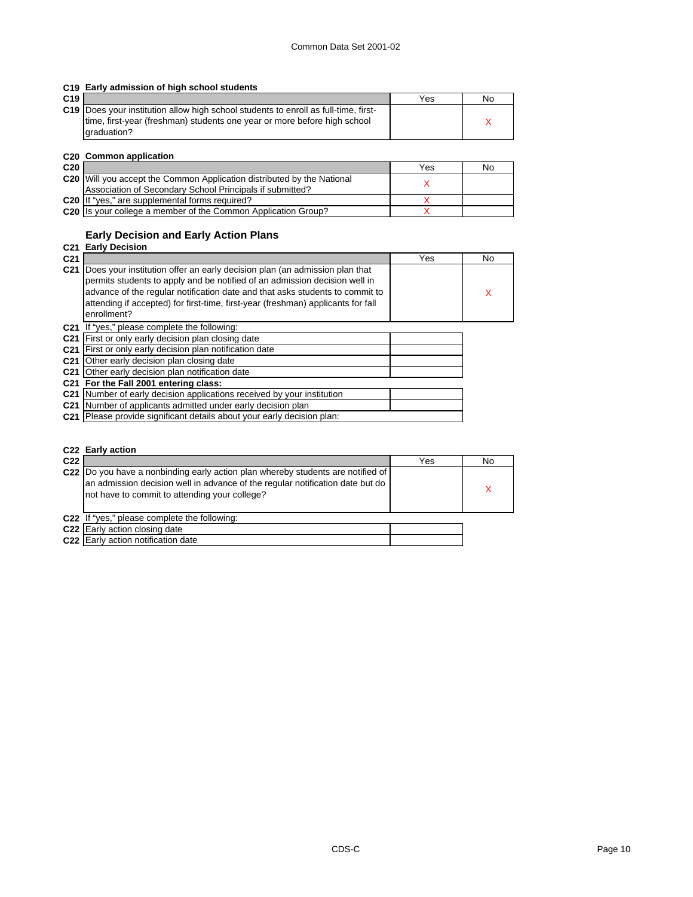|  |  | C19 Early admission of high school students |  |  |  |
|--|--|---------------------------------------------|--|--|--|
|--|--|---------------------------------------------|--|--|--|

| C19 |                                                                                            | Yes | No |
|-----|--------------------------------------------------------------------------------------------|-----|----|
|     | <b>C19</b> Does your institution allow high school students to enroll as full-time, first- |     |    |
|     | time, first-year (freshman) students one year or more before high school                   |     |    |
|     | draduation?                                                                                |     |    |

#### **C20 Common application**

| C <sub>20</sub> |                                                                               | Yes | No |
|-----------------|-------------------------------------------------------------------------------|-----|----|
|                 | <b>C20</b> Will you accept the Common Application distributed by the National |     |    |
|                 | Association of Secondary School Principals if submitted?                      |     |    |
|                 | C20 If "yes," are supplemental forms required?                                |     |    |
|                 | C <sub>20</sub> Its your college a member of the Common Application Group?    |     |    |

## **Early Decision and Early Action Plans**

## **C21 Early Decision**

| C <sub>21</sub> |                                                                                                                                                              | Yes | No |
|-----------------|--------------------------------------------------------------------------------------------------------------------------------------------------------------|-----|----|
|                 | C21 Does your institution offer an early decision plan (an admission plan that<br>permits students to apply and be notified of an admission decision well in |     |    |
|                 | advance of the regular notification date and that asks students to commit to                                                                                 |     | х  |
|                 | attending if accepted) for first-time, first-year (freshman) applicants for fall                                                                             |     |    |
|                 | enrollment?                                                                                                                                                  |     |    |
|                 | C21 If "yes," please complete the following:                                                                                                                 |     |    |
|                 | C21 First or only early decision plan closing date                                                                                                           |     |    |
|                 | C21 First or only early decision plan notification date                                                                                                      |     |    |
|                 | <b>C21</b> Other early decision plan closing date                                                                                                            |     |    |
|                 | C21 Other early decision plan notification date                                                                                                              |     |    |
|                 | C21 For the Fall 2001 entering class:                                                                                                                        |     |    |
|                 | C21 Number of early decision applications received by your institution                                                                                       |     |    |
|                 | C21 Number of applicants admitted under early decision plan                                                                                                  |     |    |
|                 | C21 Please provide significant details about your early decision plan:                                                                                       |     |    |

|                 | C22 Early action                                                                                                                                                                                                   |     |    |
|-----------------|--------------------------------------------------------------------------------------------------------------------------------------------------------------------------------------------------------------------|-----|----|
| C <sub>22</sub> |                                                                                                                                                                                                                    | Yes | No |
|                 | C22  Do you have a nonbinding early action plan whereby students are notified of<br>an admission decision well in advance of the regular notification date but do<br>not have to commit to attending your college? |     |    |
|                 | C22 If "yes," please complete the following:                                                                                                                                                                       |     |    |
|                 | C <sub>22</sub> Early action closing date                                                                                                                                                                          |     |    |
|                 | C22 Early action notification date                                                                                                                                                                                 |     |    |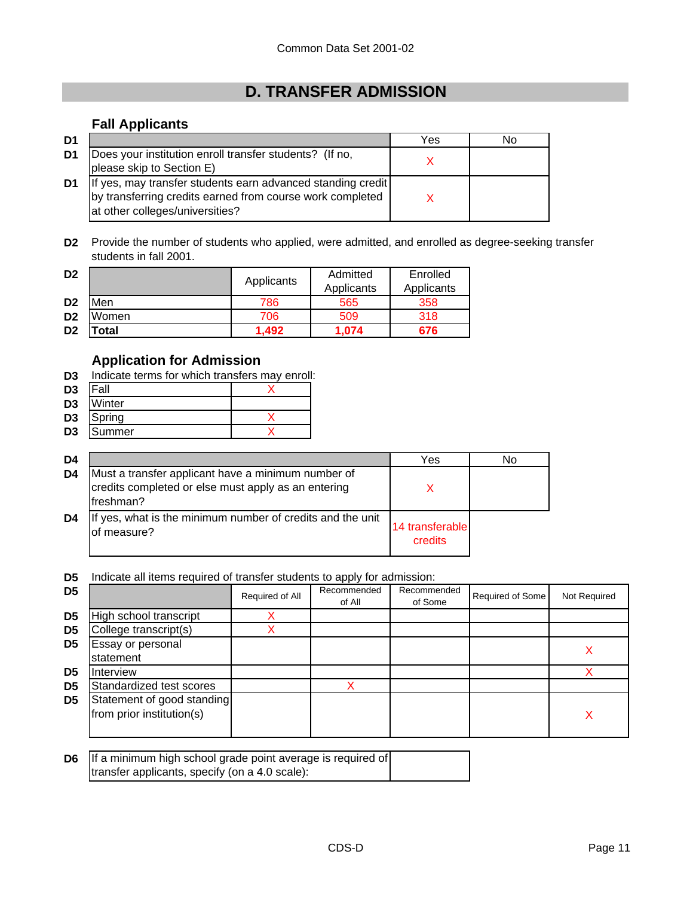# **D. TRANSFER ADMISSION**

## **Fall Applicants**

| D <sub>1</sub> |                                                                                                                                                             | Yes | No |
|----------------|-------------------------------------------------------------------------------------------------------------------------------------------------------------|-----|----|
| D1             | Does your institution enroll transfer students? (If no,<br>please skip to Section E)                                                                        |     |    |
| D1             | If yes, may transfer students earn advanced standing credit<br>by transferring credits earned from course work completed<br>at other colleges/universities? |     |    |

**D2** Provide the number of students who applied, were admitted, and enrolled as degree-seeking transfer students in fall 2001.

| D <sub>2</sub> |             | Applicants | Admitted   | Enrolled<br>Applicants |  |
|----------------|-------------|------------|------------|------------------------|--|
|                |             |            | Applicants |                        |  |
| D <sub>2</sub> | Men         | 786        | 565        | 358                    |  |
| D <sub>2</sub> | Women       | 706        | 509        | 318                    |  |
| D <sub>2</sub> | <b>otal</b> | 1.492      | 1.074      | 676                    |  |

## **Application for Admission**

- **D3** Indicate terms for which transfers may enroll:
- **D3** Fall X
- **D3** Winter
- **D3** Spring X
- **D3** Summer X

| D <sub>4</sub> |                                                                                                                        | Yes                        | No |
|----------------|------------------------------------------------------------------------------------------------------------------------|----------------------------|----|
| D <sub>4</sub> | Must a transfer applicant have a minimum number of<br>credits completed or else must apply as an entering<br>freshman? |                            |    |
| D4             | If yes, what is the minimum number of credits and the unit<br>of measure?                                              | 14 transferable<br>credits |    |

**D5** Indicate all items required of transfer students to apply for admission:

| D <sub>5</sub> |                                                         | Required of All | Recommended<br>of All | Recommended<br>of Some | Required of Some | Not Required |
|----------------|---------------------------------------------------------|-----------------|-----------------------|------------------------|------------------|--------------|
| D <sub>5</sub> | High school transcript                                  |                 |                       |                        |                  |              |
| D <sub>5</sub> | College transcript(s)                                   |                 |                       |                        |                  |              |
| D5             | Essay or personal<br>statement                          |                 |                       |                        |                  |              |
| D5             | <b>Interview</b>                                        |                 |                       |                        |                  |              |
| D <sub>5</sub> | Standardized test scores                                |                 |                       |                        |                  |              |
| D <sub>5</sub> | Statement of good standing<br>from prior institution(s) |                 |                       |                        |                  | х            |

| <b>D6</b> If a minimum high school grade point average is required of |  |
|-----------------------------------------------------------------------|--|
| transfer applicants, specify (on a 4.0 scale):                        |  |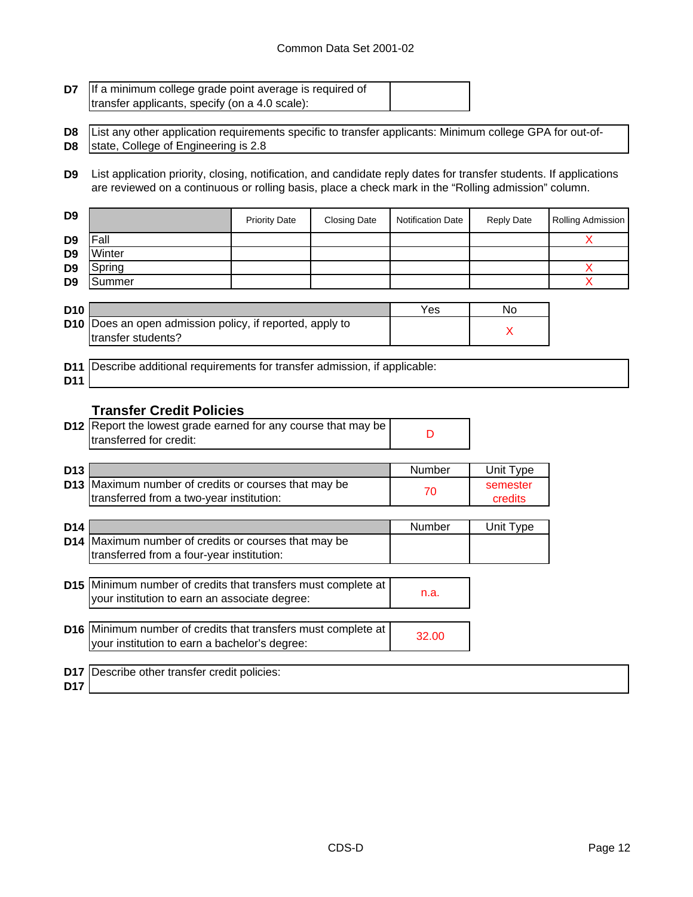### Common Data Set 2001-02

ŧ

| D7.                              | If a minimum college grade point average is required of<br>transfer applicants, specify (on a 4.0 scale):                                                                                                                  |                      |                     |                          |                     |                              |  |
|----------------------------------|----------------------------------------------------------------------------------------------------------------------------------------------------------------------------------------------------------------------------|----------------------|---------------------|--------------------------|---------------------|------------------------------|--|
| D <sub>8</sub><br>D8             | List any other application requirements specific to transfer applicants: Minimum college GPA for out-of-<br>state, College of Engineering is 2.8                                                                           |                      |                     |                          |                     |                              |  |
| D9                               | List application priority, closing, notification, and candidate reply dates for transfer students. If applications<br>are reviewed on a continuous or rolling basis, place a check mark in the "Rolling admission" column. |                      |                     |                          |                     |                              |  |
| D9                               |                                                                                                                                                                                                                            | <b>Priority Date</b> | <b>Closing Date</b> | <b>Notification Date</b> | <b>Reply Date</b>   | Rolling Admission            |  |
| D9<br>D <sub>9</sub>             | Fall<br>Winter                                                                                                                                                                                                             |                      |                     |                          |                     | X                            |  |
| D <sub>9</sub><br>D <sub>9</sub> | Spring<br>Summer                                                                                                                                                                                                           |                      |                     |                          |                     | Χ<br>$\overline{\mathsf{X}}$ |  |
| D <sub>10</sub>                  |                                                                                                                                                                                                                            |                      |                     | Yes                      | No                  |                              |  |
| D10                              | Does an open admission policy, if reported, apply to<br>transfer students?                                                                                                                                                 |                      |                     |                          | X                   |                              |  |
| D11<br>D11                       | Describe additional requirements for transfer admission, if applicable:                                                                                                                                                    |                      |                     |                          |                     |                              |  |
|                                  | <b>Transfer Credit Policies</b><br>D12 Report the lowest grade earned for any course that may be<br>transferred for credit:                                                                                                |                      |                     | D                        |                     |                              |  |
| D <sub>13</sub>                  |                                                                                                                                                                                                                            |                      |                     | Number                   | Unit Type           |                              |  |
|                                  | D13 Maximum number of credits or courses that may be<br>transferred from a two-year institution:                                                                                                                           |                      |                     | 70                       | semester<br>credits |                              |  |
| D14                              |                                                                                                                                                                                                                            |                      |                     | Number                   | Unit Type           |                              |  |
| D14                              | Maximum number of credits or courses that may be<br>transferred from a four-year institution:                                                                                                                              |                      |                     |                          |                     |                              |  |
|                                  | D15 Minimum number of credits that transfers must complete at<br>your institution to earn an associate degree:                                                                                                             |                      |                     | n.a.                     |                     |                              |  |
|                                  | D16 Minimum number of credits that transfers must complete at<br>your institution to earn a bachelor's degree:                                                                                                             |                      |                     | 32.00                    |                     |                              |  |
| D17                              | D17 Describe other transfer credit policies:                                                                                                                                                                               |                      |                     |                          |                     |                              |  |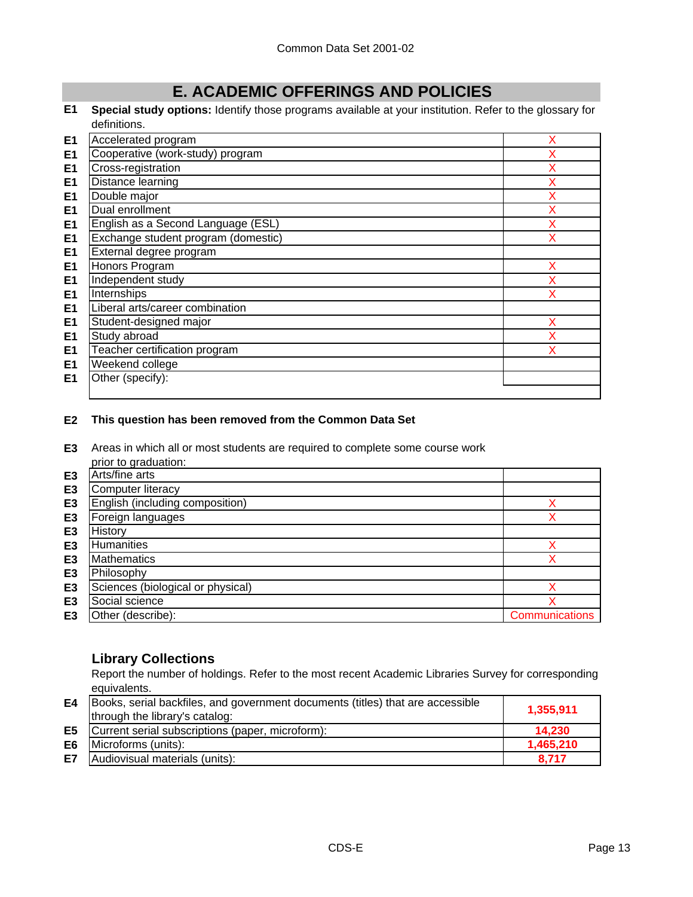# **E. ACADEMIC OFFERINGS AND POLICIES**

#### **E1 Special study options:** Identify those programs available at your institution. Refer to the glossary for definitions.

| E <sub>1</sub> | Accelerated program                 | х |
|----------------|-------------------------------------|---|
| E <sub>1</sub> | Cooperative (work-study) program    | x |
| E <sub>1</sub> | Cross-registration                  | X |
| E <sub>1</sub> | Distance learning                   | X |
| E <sub>1</sub> | Double major                        | X |
| E <sub>1</sub> | Dual enrollment                     | Χ |
| E <sub>1</sub> | English as a Second Language (ESL)  | X |
| E <sub>1</sub> | Exchange student program (domestic) | Χ |
| E <sub>1</sub> | External degree program             |   |
| E <sub>1</sub> | Honors Program                      | x |
| E <sub>1</sub> | Independent study                   | X |
| E <sub>1</sub> | Internships                         | x |
| E <sub>1</sub> | Liberal arts/career combination     |   |
| E <sub>1</sub> | Student-designed major              | X |
| E <sub>1</sub> | Study abroad                        | x |
| E <sub>1</sub> | Teacher certification program       | x |
| E <sub>1</sub> | Weekend college                     |   |
| E <sub>1</sub> | Other (specify):                    |   |
|                |                                     |   |

### **E2 This question has been removed from the Common Data Set**

**E3** Areas in which all or most students are required to complete some course work prior to graduation:

|                | prior to graduation.              |                |
|----------------|-----------------------------------|----------------|
| E <sub>3</sub> | Arts/fine arts                    |                |
| E <sub>3</sub> | <b>Computer literacy</b>          |                |
| E <sub>3</sub> | English (including composition)   |                |
| E <sub>3</sub> | Foreign languages                 |                |
| E3             | History                           |                |
| E <sub>3</sub> | <b>Humanities</b>                 |                |
| E <sub>3</sub> | <b>Mathematics</b>                |                |
| E <sub>3</sub> | Philosophy                        |                |
| E <sub>3</sub> | Sciences (biological or physical) |                |
| E3             | Social science                    |                |
| E <sub>3</sub> | Other (describe):                 | Communications |

## **Library Collections**

Report the number of holdings. Refer to the most recent Academic Libraries Survey for corresponding equivalents.

|    | <b>E4</b> Books, serial backfiles, and government documents (titles) that are accessible<br>through the library's catalog: | 1,355,911 |
|----|----------------------------------------------------------------------------------------------------------------------------|-----------|
|    | <b>E5</b> Current serial subscriptions (paper, microform):                                                                 | 14.230    |
| E6 | Microforms (units):                                                                                                        | 1,465,210 |
| E7 | Audiovisual materials (units):                                                                                             | 8.717     |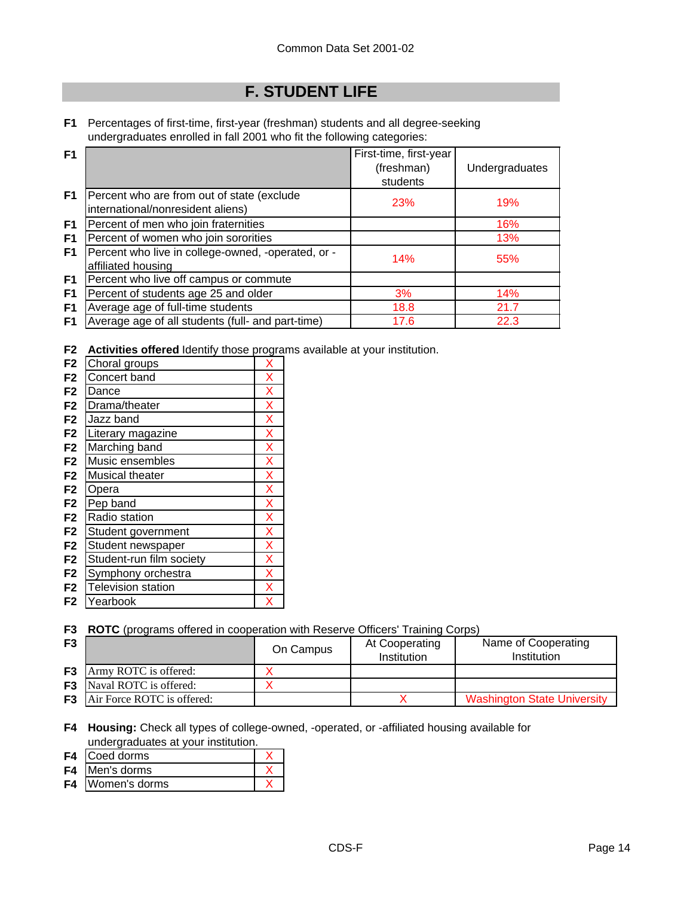# **F. STUDENT LIFE**

**F1** Percentages of first-time, first-year (freshman) students and all degree-seeking undergraduates enrolled in fall 2001 who fit the following categories:

| F <sub>1</sub> |                                                                                 | First-time, first-year<br>(freshman)<br>students | Undergraduates |
|----------------|---------------------------------------------------------------------------------|--------------------------------------------------|----------------|
| F <sub>1</sub> | Percent who are from out of state (exclude<br>international/nonresident aliens) | 23%                                              | 19%            |
| F1             | Percent of men who join fraternities                                            |                                                  | 16%            |
| F <sub>1</sub> | Percent of women who join sororities                                            |                                                  | 13%            |
| F <sub>1</sub> | Percent who live in college-owned, -operated, or -<br>affiliated housing        | 14%                                              | 55%            |
| F1             | Percent who live off campus or commute                                          |                                                  |                |
| F <sub>1</sub> | Percent of students age 25 and older                                            | 3%                                               | 14%            |
| F <sub>1</sub> | Average age of full-time students                                               | 18.8                                             | 21.7           |
| F1             | Average age of all students (full- and part-time)                               | 17.6                                             | 22.3           |

**F2 Activities offered** Identify those programs available at your institution.

| F <sub>2</sub> | Choral groups             | X |
|----------------|---------------------------|---|
| F <sub>2</sub> | Concert band              | X |
| F <sub>2</sub> | Dance                     | X |
| F <sub>2</sub> | Drama/theater             | X |
| F <sub>2</sub> | Jazz band                 | X |
| F <sub>2</sub> | Literary magazine         | X |
| F <sub>2</sub> | Marching band             | X |
| F <sub>2</sub> | Music ensembles           | X |
| F <sub>2</sub> | Musical theater           | X |
| F <sub>2</sub> | Opera                     | X |
| F <sub>2</sub> | Pep band                  | X |
| F <sub>2</sub> | Radio station             | X |
| F <sub>2</sub> | Student government        | X |
| F <sub>2</sub> | Student newspaper         | X |
| F <sub>2</sub> | Student-run film society  | X |
| F <sub>2</sub> | Symphony orchestra        | X |
| F <sub>2</sub> | <b>Television station</b> | X |
| F <sub>2</sub> | Yearbook                  | х |
|                |                           |   |

**F3 ROTC** (programs offered in cooperation with Reserve Officers' Training Corps)

| F <sub>3</sub> |                                      | On Campus | At Cooperating<br>Institution | Name of Cooperating<br>Institution |
|----------------|--------------------------------------|-----------|-------------------------------|------------------------------------|
|                | <b>F3</b> Army ROTC is offered:      |           |                               |                                    |
|                | <b>F3</b> Naval ROTC is offered:     |           |                               |                                    |
|                | <b>F3</b> Air Force ROTC is offered: |           |                               | <b>Washington State University</b> |

**F4 Housing:** Check all types of college-owned, -operated, or -affiliated housing available for undergraduates at your institution.

- **F4** Coed dorms X
- **F4** Men's dorms X
- **F4** Women's dorms X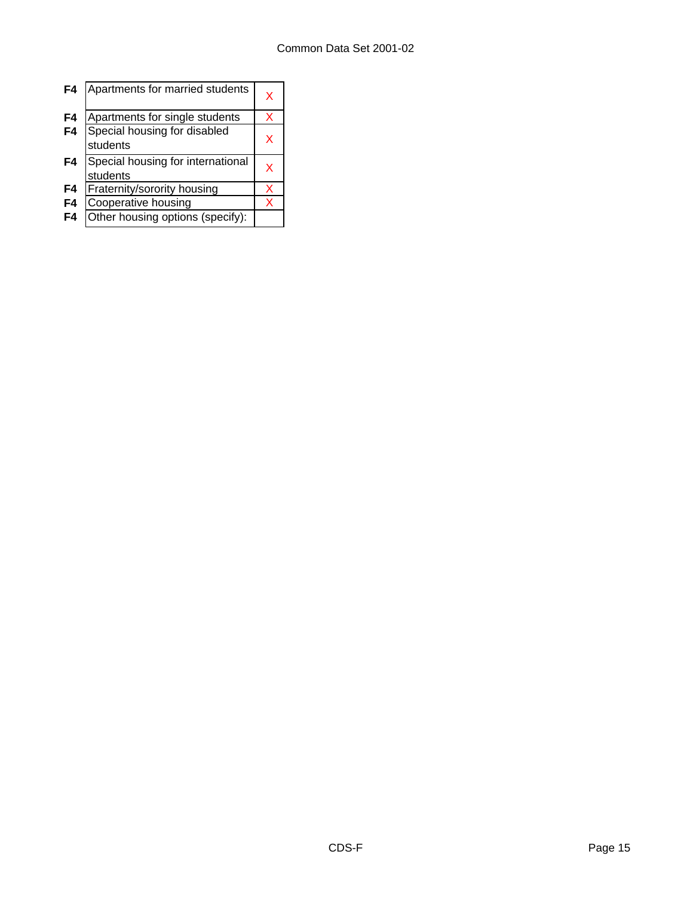| F4 | Apartments for married students               | x |
|----|-----------------------------------------------|---|
| F4 | Apartments for single students                | x |
| F4 | Special housing for disabled<br>students      | x |
| F4 | Special housing for international<br>students | x |
| F4 | Fraternity/sorority housing                   | x |
| F4 | Cooperative housing                           | x |
| F4 | Other housing options (specify):              |   |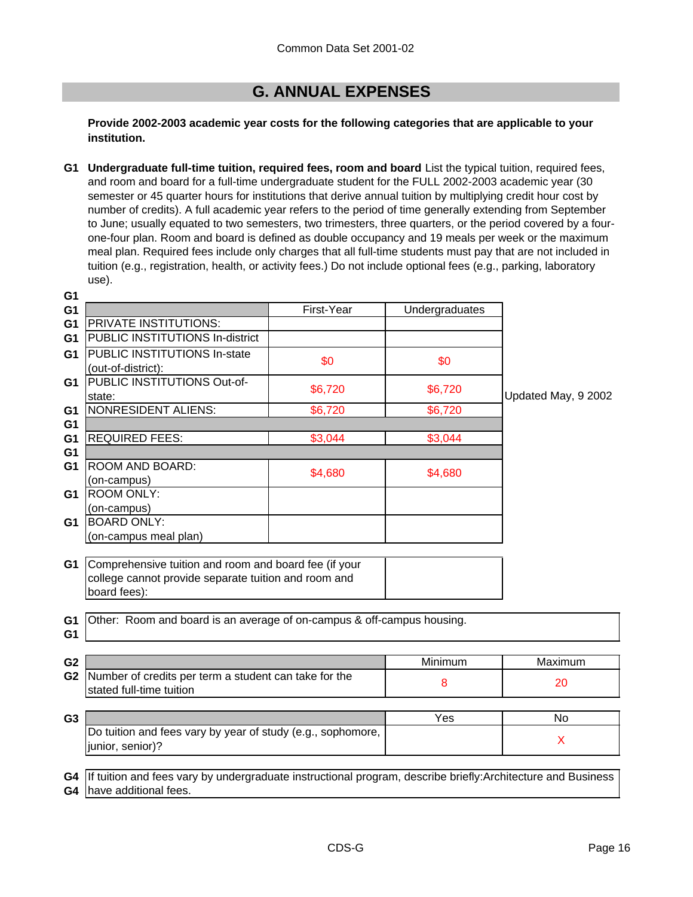# **G. ANNUAL EXPENSES**

**Provide 2002-2003 academic year costs for the following categories that are applicable to your institution.**

**G1 Undergraduate full-time tuition, required fees, room and board** List the typical tuition, required fees, and room and board for a full-time undergraduate student for the FULL 2002-2003 academic year (30 semester or 45 quarter hours for institutions that derive annual tuition by multiplying credit hour cost by number of credits). A full academic year refers to the period of time generally extending from September to June; usually equated to two semesters, two trimesters, three quarters, or the period covered by a fourone-four plan. Room and board is defined as double occupancy and 19 meals per week or the maximum meal plan. Required fees include only charges that all full-time students must pay that are not included in tuition (e.g., registration, health, or activity fees.) Do not include optional fees (e.g., parking, laboratory use).

| G <sub>1</sub>                   |                                                                                                                                  |            |                |                     |
|----------------------------------|----------------------------------------------------------------------------------------------------------------------------------|------------|----------------|---------------------|
| G <sub>1</sub>                   |                                                                                                                                  | First-Year | Undergraduates |                     |
| G <sub>1</sub>                   | <b>PRIVATE INSTITUTIONS:</b>                                                                                                     |            |                |                     |
| G <sub>1</sub>                   | PUBLIC INSTITUTIONS In-district                                                                                                  |            |                |                     |
| G1                               | <b>PUBLIC INSTITUTIONS In-state</b>                                                                                              |            |                |                     |
|                                  | (out-of-district):                                                                                                               | \$0        | \$0            |                     |
| G1                               | PUBLIC INSTITUTIONS Out-of-                                                                                                      | \$6,720    | \$6,720        |                     |
|                                  | state:                                                                                                                           |            |                | Updated May, 9 2002 |
| G1                               | <b>NONRESIDENT ALIENS:</b>                                                                                                       | \$6,720    | \$6,720        |                     |
| G <sub>1</sub>                   |                                                                                                                                  |            |                |                     |
| G <sub>1</sub>                   | <b>REQUIRED FEES:</b>                                                                                                            | \$3,044    | \$3,044        |                     |
| G <sub>1</sub>                   |                                                                                                                                  |            |                |                     |
| G <sub>1</sub>                   | ROOM AND BOARD:                                                                                                                  | \$4,680    | \$4,680        |                     |
|                                  | (on-campus)                                                                                                                      |            |                |                     |
| G1                               | <b>ROOM ONLY:</b>                                                                                                                |            |                |                     |
|                                  | (on-campus)                                                                                                                      |            |                |                     |
| G1                               | <b>BOARD ONLY:</b>                                                                                                               |            |                |                     |
|                                  | (on-campus meal plan)                                                                                                            |            |                |                     |
|                                  | G1 Comprehensive tuition and room and board fee (if your<br>college cannot provide separate tuition and room and<br>board fees): |            |                |                     |
| G <sub>1</sub><br>G <sub>1</sub> | Other: Room and board is an average of on-campus & off-campus housing.                                                           |            |                |                     |
| G <sub>2</sub>                   |                                                                                                                                  |            | Minimum        | Maximum             |
| G <sub>2</sub>                   | Number of credits per term a student can take for the                                                                            |            | 8              | 20                  |
|                                  | stated full-time tuition                                                                                                         |            |                |                     |
|                                  |                                                                                                                                  |            |                |                     |
| G <sub>3</sub>                   |                                                                                                                                  |            | Yes            | <b>No</b>           |
|                                  | Do tuition and fees vary by year of study (e.g., sophomore,                                                                      |            |                | $\sf X$             |
|                                  | junior, senior)?                                                                                                                 |            |                |                     |
|                                  |                                                                                                                                  |            |                |                     |
| G4                               | If tuition and fees vary by undergraduate instructional program, describe briefly: Architecture and Business                     |            |                |                     |
|                                  | G4 have additional fees.                                                                                                         |            |                |                     |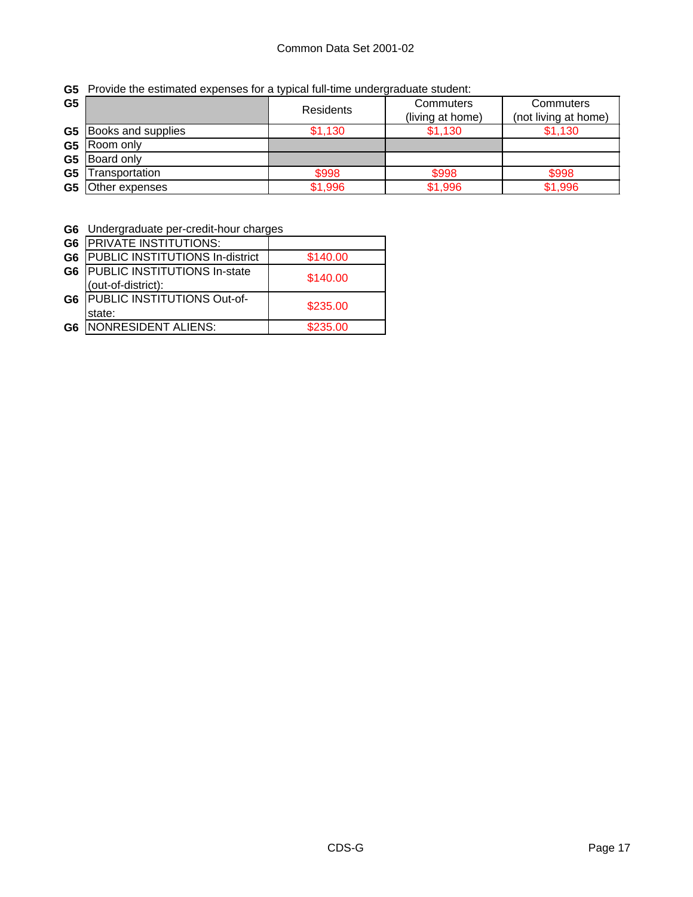| G <sub>5</sub> |                              | <b>Residents</b> | Commuters        | Commuters            |
|----------------|------------------------------|------------------|------------------|----------------------|
|                |                              |                  | (living at home) | (not living at home) |
|                | <b>G5</b> Books and supplies | \$1,130          | \$1.130          | \$1,130              |
| G5             | Room only                    |                  |                  |                      |
| G5             | Board only                   |                  |                  |                      |
| G <sub>5</sub> | Transportation               | \$998            | \$998            | \$998                |
| G <sub>5</sub> | Other expenses               | \$1,996          | \$1,996          | \$1,996              |

**G6** Undergraduate per-credit-hour charges

| G <sub>6</sub> | <b>PRIVATE INSTITUTIONS:</b>          |          |
|----------------|---------------------------------------|----------|
| G <sub>6</sub> | PUBLIC INSTITUTIONS In-district       | \$140.00 |
|                | G6   PUBLIC INSTITUTIONS In-state     | \$140.00 |
|                | (out-of-district):                    |          |
|                | <b>G6 PUBLIC INSTITUTIONS Out-of-</b> | \$235.00 |
|                | state:                                |          |
| G6             | NONRESIDENT ALIENS:                   | \$235.00 |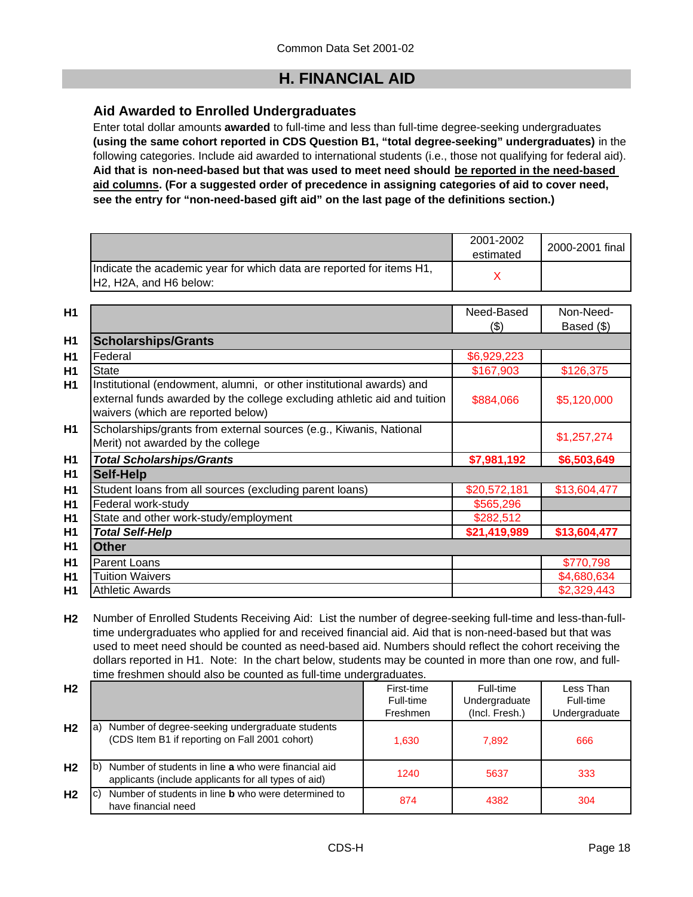# **H. FINANCIAL AID**

## **Aid Awarded to Enrolled Undergraduates**

Enter total dollar amounts **awarded** to full-time and less than full-time degree-seeking undergraduates **(using the same cohort reported in CDS Question B1, "total degree-seeking" undergraduates)** in the following categories. Include aid awarded to international students (i.e., those not qualifying for federal aid). **Aid that is non-need-based but that was used to meet need should be reported in the need-based aid columns. (For a suggested order of precedence in assigning categories of aid to cover need, see the entry for "non-need-based gift aid" on the last page of the definitions section.)**

|                                                                                                                                      | 2001-2002<br>estimated | 2000-2001 final |
|--------------------------------------------------------------------------------------------------------------------------------------|------------------------|-----------------|
| Indicate the academic year for which data are reported for items H1,<br>H <sub>2</sub> , H <sub>2</sub> A, and H <sub>6</sub> below: |                        |                 |

| H1             |                                                                                                                                                                                        | Need-Based<br>$($ \$) | Non-Need-<br>Based (\$) |
|----------------|----------------------------------------------------------------------------------------------------------------------------------------------------------------------------------------|-----------------------|-------------------------|
| H <sub>1</sub> | <b>Scholarships/Grants</b>                                                                                                                                                             |                       |                         |
| H1             | Federal                                                                                                                                                                                | \$6,929,223           |                         |
| H1             | <b>State</b>                                                                                                                                                                           | \$167,903             | \$126,375               |
| H <sub>1</sub> | Institutional (endowment, alumni, or other institutional awards) and<br>external funds awarded by the college excluding athletic aid and tuition<br>waivers (which are reported below) | \$884,066             | \$5,120,000             |
| H1             | Scholarships/grants from external sources (e.g., Kiwanis, National<br>Merit) not awarded by the college                                                                                |                       | \$1,257,274             |
| H1             | <b>Total Scholarships/Grants</b>                                                                                                                                                       | \$7,981,192           | \$6,503,649             |
| H1             | <b>Self-Help</b>                                                                                                                                                                       |                       |                         |
| H <sub>1</sub> | Student loans from all sources (excluding parent loans)                                                                                                                                | \$20,572,181          | \$13,604,477            |
| <b>H1</b>      | Federal work-study                                                                                                                                                                     | \$565,296             |                         |
| H <sub>1</sub> | State and other work-study/employment                                                                                                                                                  | \$282,512             |                         |
| H <sub>1</sub> | <b>Total Self-Help</b>                                                                                                                                                                 | \$21,419,989          | \$13,604,477            |
| H1             | <b>Other</b>                                                                                                                                                                           |                       |                         |
| H1             | <b>Parent Loans</b>                                                                                                                                                                    |                       | \$770,798               |
| H1             | <b>Tuition Waivers</b>                                                                                                                                                                 |                       | \$4,680,634             |
| H1             | <b>Athletic Awards</b>                                                                                                                                                                 |                       | \$2,329,443             |

**H2** Number of Enrolled Students Receiving Aid: List the number of degree-seeking full-time and less-than-fulltime undergraduates who applied for and received financial aid. Aid that is non-need-based but that was used to meet need should be counted as need-based aid. Numbers should reflect the cohort receiving the dollars reported in H1. Note: In the chart below, students may be counted in more than one row, and fulltime freshmen should also be counted as full-time undergraduates.

| H <sub>2</sub> |                                                                                                                      | First-time<br>Full-time<br>Freshmen | Full-time<br>Undergraduate<br>(Incl. Fresh.) | Less Than<br>Full-time<br>Undergraduate |
|----------------|----------------------------------------------------------------------------------------------------------------------|-------------------------------------|----------------------------------------------|-----------------------------------------|
| H <sub>2</sub> | Number of degree-seeking undergraduate students<br>la <sup>'</sup><br>(CDS Item B1 if reporting on Fall 2001 cohort) | 1,630                               | 7,892                                        | 666                                     |
| H <sub>2</sub> | Number of students in line a who were financial aid<br>lb)<br>applicants (include applicants for all types of aid)   | 1240                                | 5637                                         | 333                                     |
| H <sub>2</sub> | Number of students in line <b>b</b> who were determined to<br>IC)<br>have financial need                             | 874                                 | 4382                                         | 304                                     |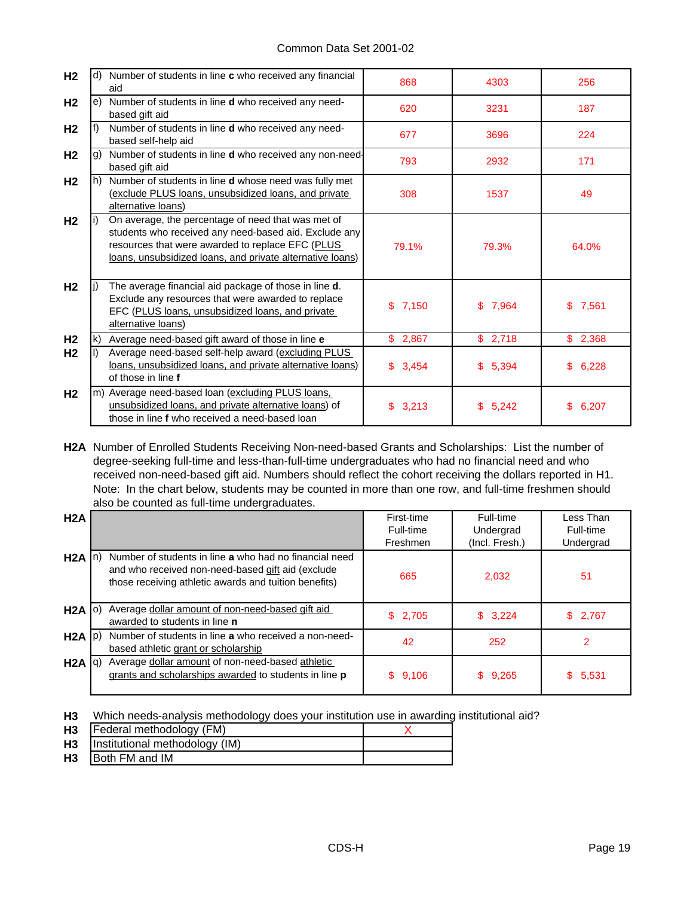### Common Data Set 2001-02

| H <sub>2</sub> |    | d) Number of students in line c who received any financial<br>aid                                                                                                                                                            | 868         | 4303        | 256         |
|----------------|----|------------------------------------------------------------------------------------------------------------------------------------------------------------------------------------------------------------------------------|-------------|-------------|-------------|
| H <sub>2</sub> |    | e) Number of students in line <b>d</b> who received any need-<br>based gift aid                                                                                                                                              | 620         | 3231        | 187         |
| H <sub>2</sub> |    | Number of students in line d who received any need-<br>based self-help aid                                                                                                                                                   | 677         | 3696        | 224         |
| H <sub>2</sub> | g) | Number of students in line <b>d</b> who received any non-need-<br>based gift aid                                                                                                                                             | 793         | 2932        | 171         |
| H <sub>2</sub> |    | h) Number of students in line d whose need was fully met<br>(exclude PLUS loans, unsubsidized loans, and private<br>alternative loans)                                                                                       | 308         | 1537        | 49          |
| H <sub>2</sub> |    | On average, the percentage of need that was met of<br>students who received any need-based aid. Exclude any<br>resources that were awarded to replace EFC (PLUS<br>loans, unsubsidized loans, and private alternative loans) | 79.1%       | 79.3%       | 64.0%       |
| H <sub>2</sub> |    | The average financial aid package of those in line d.<br>Exclude any resources that were awarded to replace<br>EFC (PLUS loans, unsubsidized loans, and private<br>alternative loans)                                        | £.<br>7,150 | \$7.964     | £.<br>7,561 |
| H <sub>2</sub> |    | Average need-based gift award of those in line e                                                                                                                                                                             | \$2,867     | \$2,718     | \$2,368     |
| H <sub>2</sub> |    | Average need-based self-help award (excluding PLUS<br>loans, unsubsidized loans, and private alternative loans)<br>of those in line f                                                                                        | \$3,454     | \$<br>5,394 | 6,228<br>\$ |
| H <sub>2</sub> |    | m) Average need-based loan (excluding PLUS loans,<br>unsubsidized loans, and private alternative loans) of<br>those in line f who received a need-based loan                                                                 | \$<br>3,213 | \$<br>5,242 | \$<br>6,207 |

**H2A** Number of Enrolled Students Receiving Non-need-based Grants and Scholarships: List the number of degree-seeking full-time and less-than-full-time undergraduates who had no financial need and who received non-need-based gift aid. Numbers should reflect the cohort receiving the dollars reported in H1. Note: In the chart below, students may be counted in more than one row, and full-time freshmen should also be counted as full-time undergraduates.

| H <sub>2</sub> A  |                                                                                                                                                                      | First-time<br>Full-time<br>Freshmen | Full-time<br>Undergrad<br>(Incl. Fresh.) | Less Than<br>Full-time<br>Undergrad |
|-------------------|----------------------------------------------------------------------------------------------------------------------------------------------------------------------|-------------------------------------|------------------------------------------|-------------------------------------|
| $H2A \ln$         | Number of students in line a who had no financial need<br>and who received non-need-based gift aid (exclude<br>those receiving athletic awards and tuition benefits) | 665                                 | 2,032                                    | 51                                  |
| $H2A$ $ 0\rangle$ | Average dollar amount of non-need-based gift aid<br>awarded to students in line <b>n</b>                                                                             | \$2,705                             | \$3,224                                  | \$2,767                             |
| $H2A$ $ p\rangle$ | Number of students in line a who received a non-need-<br>based athletic grant or scholarship                                                                         | 42                                  | 252                                      | 2                                   |
| H2A  q            | Average dollar amount of non-need-based athletic<br>grants and scholarships awarded to students in line p                                                            | \$9,106                             | \$9,265                                  | 5,531<br>SS.                        |

**H3** Which needs-analysis methodology does your institution use in awarding institutional aid?

| H <sub>3</sub> | Federal methodology (FM)       |  |
|----------------|--------------------------------|--|
| H <sub>3</sub> | Institutional methodology (IM) |  |
|                |                                |  |

**H3** Both FM and IM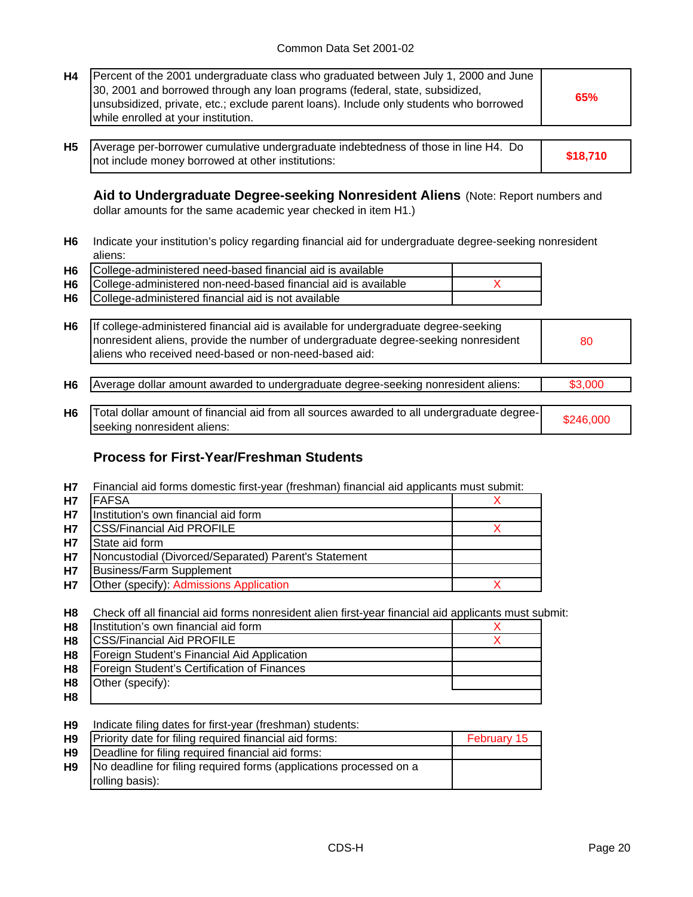| H4 | Percent of the 2001 undergraduate class who graduated between July 1, 2000 and June<br>[30, 2001 and borrowed through any loan programs (federal, state, subsidized,<br>unsubsidized, private, etc.; exclude parent loans). Include only students who borrowed<br>while enrolled at your institution. |  |
|----|-------------------------------------------------------------------------------------------------------------------------------------------------------------------------------------------------------------------------------------------------------------------------------------------------------|--|
|    |                                                                                                                                                                                                                                                                                                       |  |

**H5 \$18,710** Average per-borrower cumulative undergraduate indebtedness of those in line H4. Do not include money borrowed at other institutions:

**Aid to Undergraduate Degree-seeking Nonresident Aliens** (Note: Report numbers and dollar amounts for the same academic year checked in item H1.)

**H6** Indicate your institution's policy regarding financial aid for undergraduate degree-seeking nonresident aliens:

| H6 College-administered need-based financial aid is available     |  |
|-------------------------------------------------------------------|--|
| H6 College-administered non-need-based financial aid is available |  |
| H6 College-administered financial aid is not available            |  |

| H <sub>6</sub> | If college-administered financial aid is available for undergraduate degree-seeking<br>nonresident aliens, provide the number of undergraduate degree-seeking nonresident<br>aliens who received need-based or non-need-based aid: | 80        |
|----------------|------------------------------------------------------------------------------------------------------------------------------------------------------------------------------------------------------------------------------------|-----------|
| H <sub>6</sub> | Average dollar amount awarded to undergraduate degree-seeking nonresident aliens:                                                                                                                                                  | \$3,000   |
| H <sub>6</sub> | Total dollar amount of financial aid from all sources awarded to all undergraduate degree-<br>seeking nonresident aliens:                                                                                                          | \$246,000 |

## **Process for First-Year/Freshman Students**

**H7** Financial aid forms domestic first-year (freshman) financial aid applicants must submit:

| <b>H7</b> | <b>FAFSA</b>                                         |  |
|-----------|------------------------------------------------------|--|
| <b>H7</b> | Institution's own financial aid form                 |  |
| <b>H7</b> | <b>ICSS/Financial Aid PROFILE</b>                    |  |
| <b>H7</b> | State aid form                                       |  |
| <b>H7</b> | Noncustodial (Divorced/Separated) Parent's Statement |  |
| <b>H7</b> | Business/Farm Supplement                             |  |
| <b>H7</b> | Other (specify): Admissions Application              |  |

**H8** Check off all financial aid forms nonresident alien first-year financial aid applicants must submit:

| H <sub>8</sub> | Institution's own financial aid form        |  |
|----------------|---------------------------------------------|--|
| H <sub>8</sub> | <b>CSS/Financial Aid PROFILE</b>            |  |
| H <sub>8</sub> | Foreign Student's Financial Aid Application |  |
| H <sub>8</sub> | Foreign Student's Certification of Finances |  |
| H <sub>8</sub> | Other (specify):                            |  |
| H <sub>8</sub> |                                             |  |

**H9** Indicate filing dates for first-year (freshman) students:

| H <sub>9</sub> | Priority date for filing required financial aid forms:             | February 15 |
|----------------|--------------------------------------------------------------------|-------------|
| H <sub>9</sub> | Deadline for filing required financial aid forms:                  |             |
| H <sub>9</sub> | No deadline for filing required forms (applications processed on a |             |
|                | rolling basis):                                                    |             |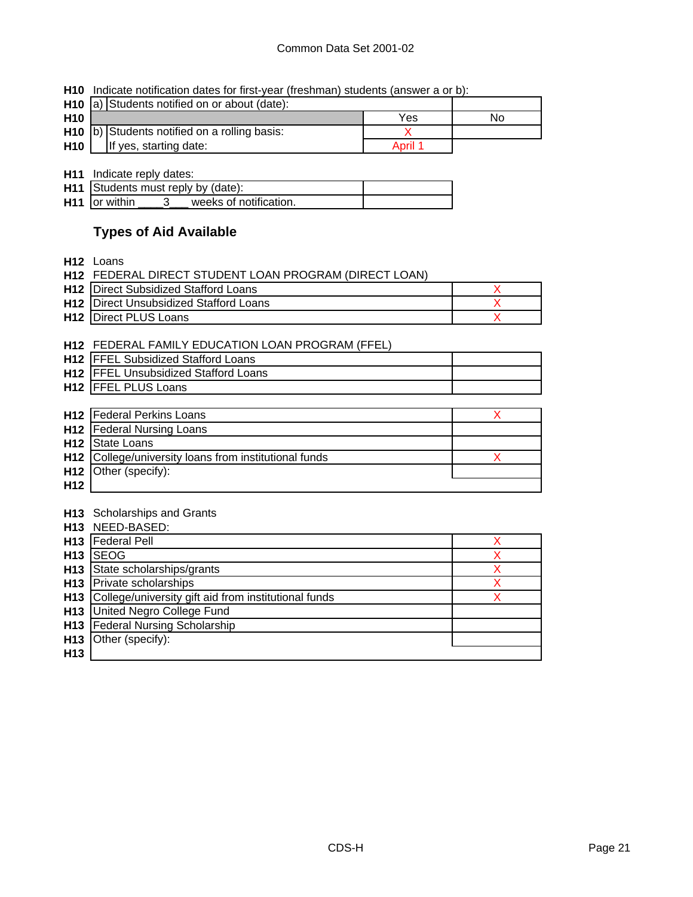### Common Data Set 2001-02

|  | <b>H10</b> Indicate notification dates for first-year (freshman) students (answer a or b): |  |  |  |  |  |
|--|--------------------------------------------------------------------------------------------|--|--|--|--|--|
|--|--------------------------------------------------------------------------------------------|--|--|--|--|--|

|                 | H <sub>10</sub> a) Students notified on or about (date): |         |    |
|-----------------|----------------------------------------------------------|---------|----|
| H <sub>10</sub> |                                                          | Yes     | No |
|                 | $H10$ b) Students notified on a rolling basis:           |         |    |
| H <sub>10</sub> | If yes, starting date:                                   | April 1 |    |

**H11** Indicate reply dates:

| <b>H11</b> Students must reply by (date): |  |
|-------------------------------------------|--|
| $H11$ or within<br>weeks of notification. |  |

# **Types of Aid Available**

**H12** Loans

| H <sub>12</sub> | FEDERAL DIRECT STUDENT LOAN PROGRAM (DIRECT LOAN) |   |
|-----------------|---------------------------------------------------|---|
| H <sub>12</sub> | <b>Direct Subsidized Stafford Loans</b>           | X |
| H <sub>12</sub> | <b>Direct Unsubsidized Stafford Loans</b>         | X |
| H <sub>12</sub> | <b>Direct PLUS Loans</b>                          | x |
|                 |                                                   |   |
| H <sub>12</sub> | FEDERAL FAMILY EDUCATION LOAN PROGRAM (FFEL)      |   |
| H <sub>12</sub> | <b>FFEL Subsidized Stafford Loans</b>             |   |
| H <sub>12</sub> | <b>FFEL Unsubsidized Stafford Loans</b>           |   |
| H <sub>12</sub> | <b>FFEL PLUS Loans</b>                            |   |
|                 |                                                   |   |
| H <sub>12</sub> | <b>Federal Perkins Loans</b>                      | X |
| H <sub>12</sub> | <b>Federal Nursing Loans</b>                      |   |
| H <sub>12</sub> | State Loans                                       |   |
| H <sub>12</sub> | College/university loans from institutional funds | x |
| H <sub>12</sub> | Other (specify):                                  |   |
| H <sub>12</sub> |                                                   |   |
|                 |                                                   |   |
| H13             | Scholarships and Grants                           |   |
| H <sub>13</sub> | NEED-BASED:                                       |   |
|                 | <b>LI13</b> Enderal Poll                          | Y |

|                 | <b>H13</b>   Federal Pell                                |  |
|-----------------|----------------------------------------------------------|--|
| H <sub>13</sub> | <b>SEOG</b>                                              |  |
|                 | H13 State scholarships/grants                            |  |
|                 | H <sub>13</sub> Private scholarships                     |  |
|                 | H13 College/university gift aid from institutional funds |  |
|                 | H13 United Negro College Fund                            |  |
|                 | <b>H13</b> Federal Nursing Scholarship                   |  |
| H <sub>13</sub> | Other (specify):                                         |  |
| H <sub>13</sub> |                                                          |  |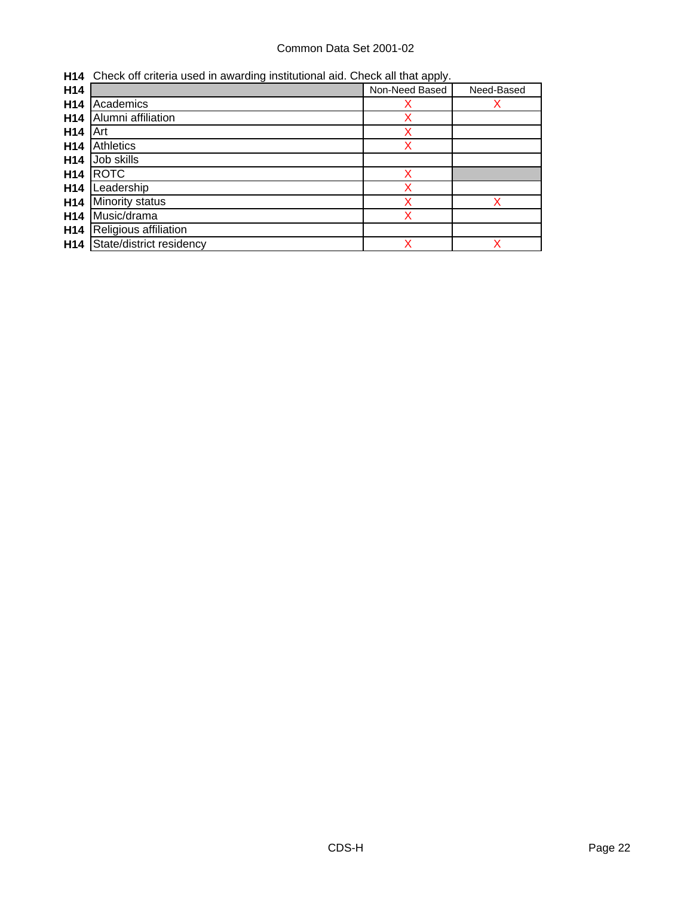## Common Data Set 2001-02

**H14** Check off criteria used in awarding institutional aid. Check all that apply.

| H14             | ີ                        | - 11<br>Non-Need Based | Need-Based |
|-----------------|--------------------------|------------------------|------------|
| H14             | Academics                | х                      |            |
| H <sub>14</sub> | Alumni affiliation       | х                      |            |
| H <sub>14</sub> | Art                      | x                      |            |
| H <sub>14</sub> | Athletics                | x                      |            |
| H <sub>14</sub> | Job skills               |                        |            |
| H <sub>14</sub> | <b>ROTC</b>              | x                      |            |
| H <sub>14</sub> | Leadership               |                        |            |
| H <sub>14</sub> | Minority status          |                        | x          |
| H <sub>14</sub> | Music/drama              | x                      |            |
| H14             | Religious affiliation    |                        |            |
| H <sub>14</sub> | State/district residency | X                      | X          |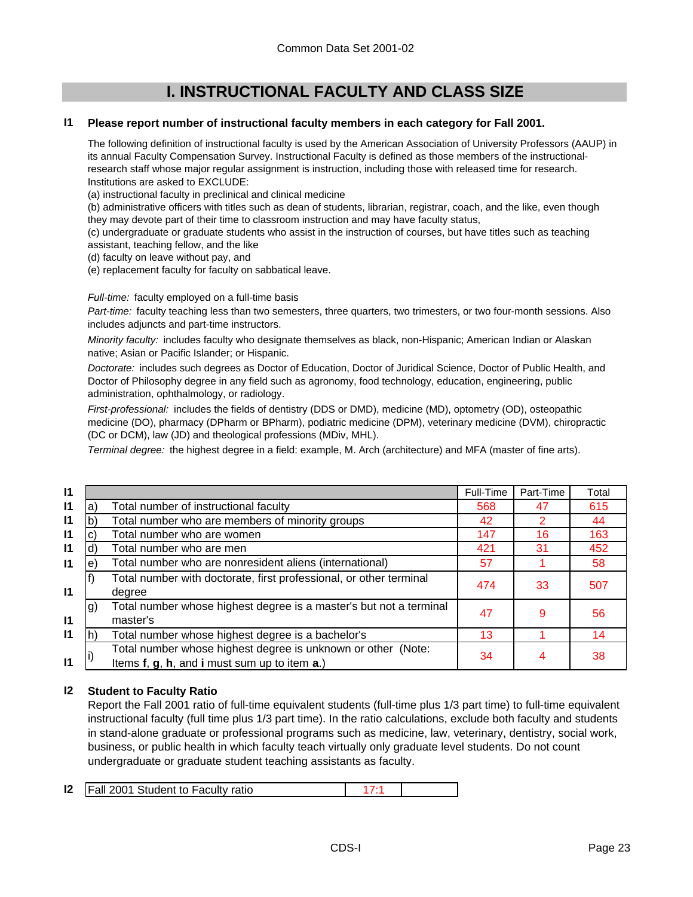# **I. INSTRUCTIONAL FACULTY AND CLASS SIZE**

#### **I1 Please report number of instructional faculty members in each category for Fall 2001.**

The following definition of instructional faculty is used by the American Association of University Professors (AAUP) in its annual Faculty Compensation Survey. Instructional Faculty is defined as those members of the instructionalresearch staff whose major regular assignment is instruction, including those with released time for research. Institutions are asked to EXCLUDE:

(a) instructional faculty in preclinical and clinical medicine

(b) administrative officers with titles such as dean of students, librarian, registrar, coach, and the like, even though they may devote part of their time to classroom instruction and may have faculty status,

(c) undergraduate or graduate students who assist in the instruction of courses, but have titles such as teaching assistant, teaching fellow, and the like

(d) faculty on leave without pay, and

(e) replacement faculty for faculty on sabbatical leave.

*Full-time:* faculty employed on a full-time basis

*Part-time:* faculty teaching less than two semesters, three quarters, two trimesters, or two four-month sessions. Also includes adjuncts and part-time instructors.

*Minority faculty:* includes faculty who designate themselves as black, non-Hispanic; American Indian or Alaskan native; Asian or Pacific Islander; or Hispanic.

*Doctorate:* includes such degrees as Doctor of Education, Doctor of Juridical Science, Doctor of Public Health, and Doctor of Philosophy degree in any field such as agronomy, food technology, education, engineering, public administration, ophthalmology, or radiology.

*First-professional:* includes the fields of dentistry (DDS or DMD), medicine (MD), optometry (OD), osteopathic medicine (DO), pharmacy (DPharm or BPharm), podiatric medicine (DPM), veterinary medicine (DVM), chiropractic (DC or DCM), law (JD) and theological professions (MDiv, MHL).

*Terminal degree:* the highest degree in a field: example, M. Arch (architecture) and MFA (master of fine arts).

|    |                                                                    |     |                              | Total                     |
|----|--------------------------------------------------------------------|-----|------------------------------|---------------------------|
| a) | Total number of instructional faculty                              | 568 | 47                           | 615                       |
|    | Total number who are members of minority groups                    | 42  | 2                            | 44                        |
|    | Total number who are women                                         | 147 | 16                           | 163                       |
| d) | Total number who are men                                           | 421 | 31                           | 452                       |
| e) | Total number who are nonresident aliens (international)            | 57  |                              | 58                        |
|    | Total number with doctorate, first professional, or other terminal |     |                              | 507                       |
|    | degree                                                             |     |                              |                           |
| g) | Total number whose highest degree is a master's but not a terminal |     |                              | 56                        |
|    | master's                                                           |     |                              |                           |
|    | Total number whose highest degree is a bachelor's                  | 13  |                              | 14                        |
|    | Total number whose highest degree is unknown or other (Note:       |     |                              | 38                        |
|    | Items f, g, h, and i must sum up to item a.)                       |     |                              |                           |
|    |                                                                    |     | Full-Time<br>474<br>47<br>34 | Part-Time<br>33<br>9<br>4 |

#### **I2 Student to Faculty Ratio**

Report the Fall 2001 ratio of full-time equivalent students (full-time plus 1/3 part time) to full-time equivalent instructional faculty (full time plus 1/3 part time). In the ratio calculations, exclude both faculty and students in stand-alone graduate or professional programs such as medicine, law, veterinary, dentistry, social work, business, or public health in which faculty teach virtually only graduate level students. Do not count undergraduate or graduate student teaching assistants as faculty.

|  |  | <b>12</b>   Fall 2001 Student to Faculty ratio |  |  |
|--|--|------------------------------------------------|--|--|
|--|--|------------------------------------------------|--|--|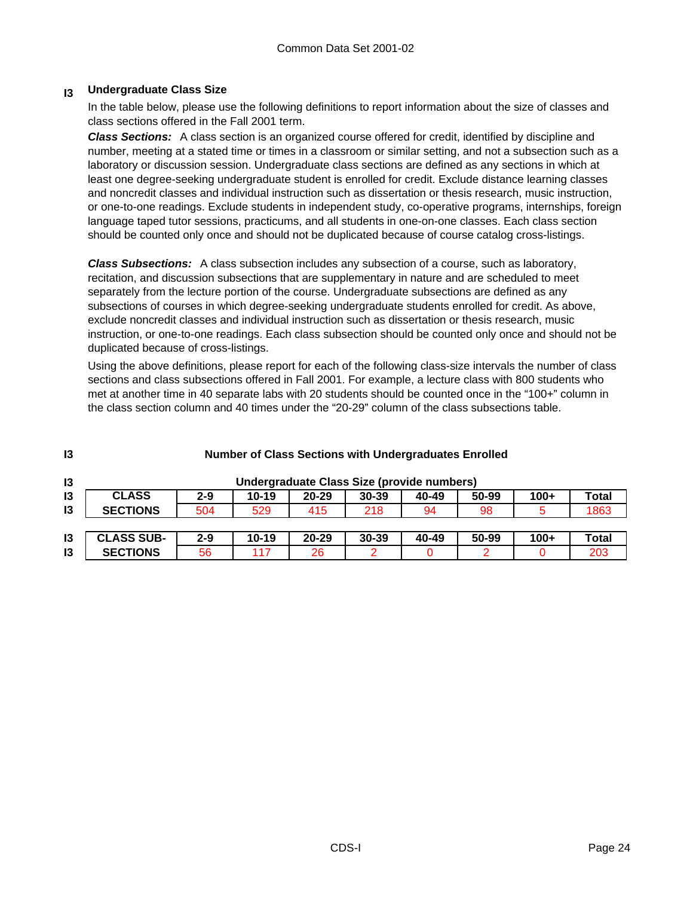#### **I3 Undergraduate Class Size**

In the table below, please use the following definitions to report information about the size of classes and class sections offered in the Fall 2001 term.

*Class Sections:* A class section is an organized course offered for credit, identified by discipline and number, meeting at a stated time or times in a classroom or similar setting, and not a subsection such as a laboratory or discussion session. Undergraduate class sections are defined as any sections in which at least one degree-seeking undergraduate student is enrolled for credit. Exclude distance learning classes and noncredit classes and individual instruction such as dissertation or thesis research, music instruction, or one-to-one readings. Exclude students in independent study, co-operative programs, internships, foreign language taped tutor sessions, practicums, and all students in one-on-one classes. Each class section should be counted only once and should not be duplicated because of course catalog cross-listings.

*Class Subsections:* A class subsection includes any subsection of a course, such as laboratory, recitation, and discussion subsections that are supplementary in nature and are scheduled to meet separately from the lecture portion of the course. Undergraduate subsections are defined as any subsections of courses in which degree-seeking undergraduate students enrolled for credit. As above, exclude noncredit classes and individual instruction such as dissertation or thesis research, music instruction, or one-to-one readings. Each class subsection should be counted only once and should not be duplicated because of cross-listings.

Using the above definitions, please report for each of the following class-size intervals the number of class sections and class subsections offered in Fall 2001. For example, a lecture class with 800 students who met at another time in 40 separate labs with 20 students should be counted once in the "100+" column in the class section column and 40 times under the "20-29" column of the class subsections table.

| 13 | <b>Number of Class Sections with Undergraduates Enrolled</b> |         |           |           |                                            |       |       |        |              |
|----|--------------------------------------------------------------|---------|-----------|-----------|--------------------------------------------|-------|-------|--------|--------------|
| 13 |                                                              |         |           |           | Undergraduate Class Size (provide numbers) |       |       |        |              |
| 13 | <b>CLASS</b>                                                 | $2 - 9$ | $10 - 19$ | $20 - 29$ | $30 - 39$                                  | 40-49 | 50-99 | $100+$ | <b>Total</b> |
| 13 | <b>SECTIONS</b>                                              | 504     | 529       | 415       | 218                                        | 94    | 98    |        | 1863         |
|    |                                                              |         |           |           |                                            |       |       |        |              |
| 13 | <b>CLASS SUB-</b>                                            | $2 - 9$ | $10 - 19$ | $20 - 29$ | $30 - 39$                                  | 40-49 | 50-99 | $100+$ | <b>Total</b> |
| 13 | <b>SECTIONS</b>                                              | 56      | 117       | 26        |                                            |       | 2     |        | 203          |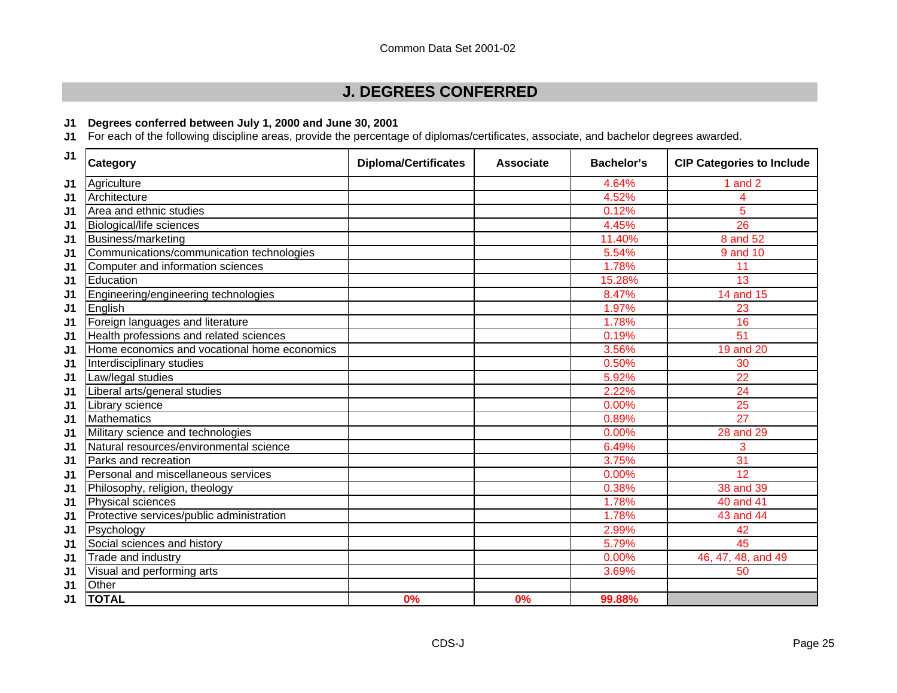# **J. DEGREES CONFERRED**

## **J1 Degrees conferred between July 1, 2000 and June 30, 2001**

**J1** For each of the following discipline areas, provide the percentage of diplomas/certificates, associate, and bachelor degrees awarded.

| J <sub>1</sub> | Category                                     | <b>Diploma/Certificates</b> | <b>Associate</b> | <b>Bachelor's</b> | <b>CIP Categories to Include</b> |
|----------------|----------------------------------------------|-----------------------------|------------------|-------------------|----------------------------------|
| J1             | Agriculture                                  |                             |                  | 4.64%             | 1 and 2                          |
| J <sub>1</sub> | Architecture                                 |                             |                  | 4.52%             | 4                                |
| J1             | Area and ethnic studies                      |                             |                  | 0.12%             | 5                                |
| J <sub>1</sub> | Biological/life sciences                     |                             |                  | 4.45%             | 26                               |
| J <sub>1</sub> | Business/marketing                           |                             |                  | 11.40%            | 8 and 52                         |
| J <sub>1</sub> | Communications/communication technologies    |                             |                  | 5.54%             | $9$ and $10$                     |
| J <sub>1</sub> | Computer and information sciences            |                             |                  | 1.78%             | 11                               |
| J <sub>1</sub> | Education                                    |                             |                  | 15.28%            | 13                               |
| J1             | Engineering/engineering technologies         |                             |                  | 8.47%             | 14 and 15                        |
| J <sub>1</sub> | English                                      |                             |                  | 1.97%             | 23                               |
| J1             | Foreign languages and literature             |                             |                  | 1.78%             | 16                               |
| J <sub>1</sub> | Health professions and related sciences      |                             |                  | 0.19%             | 51                               |
| J <sub>1</sub> | Home economics and vocational home economics |                             |                  | 3.56%             | 19 and 20                        |
| J <sub>1</sub> | Interdisciplinary studies                    |                             |                  | 0.50%             | 30                               |
| J <sub>1</sub> | Law/legal studies                            |                             |                  | 5.92%             | 22                               |
| J <sub>1</sub> | Liberal arts/general studies                 |                             |                  | 2.22%             | 24                               |
| J <sub>1</sub> | Library science                              |                             |                  | 0.00%             | 25                               |
| J <sub>1</sub> | <b>Mathematics</b>                           |                             |                  | 0.89%             | 27                               |
| J1             | Military science and technologies            |                             |                  | 0.00%             | 28 and 29                        |
| J <sub>1</sub> | Natural resources/environmental science      |                             |                  | 6.49%             | 3                                |
| J <sub>1</sub> | Parks and recreation                         |                             |                  | 3.75%             | 31                               |
| J1             | Personal and miscellaneous services          |                             |                  | 0.00%             | $\overline{12}$                  |
| J1             | Philosophy, religion, theology               |                             |                  | 0.38%             | 38 and 39                        |
| J <sub>1</sub> | Physical sciences                            |                             |                  | 1.78%             | 40 and 41                        |
| J1             | Protective services/public administration    |                             |                  | 1.78%             | 43 and 44                        |
| J1             | Psychology                                   |                             |                  | 2.99%             | 42                               |
| J <sub>1</sub> | Social sciences and history                  |                             |                  | 5.79%             | 45                               |
| J <sub>1</sub> | Trade and industry                           |                             |                  | 0.00%             | 46, 47, 48, and 49               |
| J1             | Visual and performing arts                   |                             |                  | 3.69%             | 50                               |
| J <sub>1</sub> | Other                                        |                             |                  |                   |                                  |
| J <sub>1</sub> | <b>TOTAL</b>                                 | 0%                          | 0%               | 99.88%            |                                  |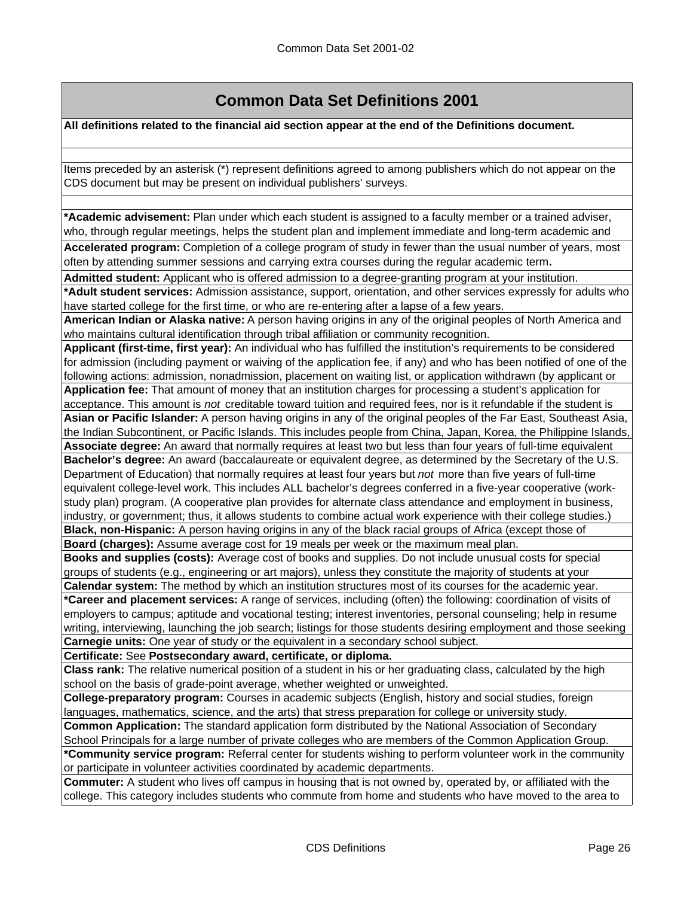# **Common Data Set Definitions 2001**

**All definitions related to the financial aid section appear at the end of the Definitions document.**

Items preceded by an asterisk (\*) represent definitions agreed to among publishers which do not appear on the CDS document but may be present on individual publishers' surveys.

**\*Academic advisement:** Plan under which each student is assigned to a faculty member or a trained adviser, who, through regular meetings, helps the student plan and implement immediate and long-term academic and

**Accelerated program:** Completion of a college program of study in fewer than the usual number of years, most often by attending summer sessions and carrying extra courses during the regular academic term**.**

**Admitted student:** Applicant who is offered admission to a degree-granting program at your institution. **\*Adult student services:** Admission assistance, support, orientation, and other services expressly for adults who have started college for the first time, or who are re-entering after a lapse of a few years.

**American Indian or Alaska native:** A person having origins in any of the original peoples of North America and who maintains cultural identification through tribal affiliation or community recognition.

**Applicant (first-time, first year):** An individual who has fulfilled the institution's requirements to be considered for admission (including payment or waiving of the application fee, if any) and who has been notified of one of the following actions: admission, nonadmission, placement on waiting list, or application withdrawn (by applicant or **Application fee:** That amount of money that an institution charges for processing a student's application for

acceptance. This amount is *not* creditable toward tuition and required fees, nor is it refundable if the student is **Asian or Pacific Islander:** A person having origins in any of the original peoples of the Far East, Southeast Asia, the Indian Subcontinent, or Pacific Islands. This includes people from China, Japan, Korea, the Philippine Islands,

**Associate degree:** An award that normally requires at least two but less than four years of full-time equivalent **Bachelor's degree:** An award (baccalaureate or equivalent degree, as determined by the Secretary of the U.S. Department of Education) that normally requires at least four years but *not* more than five years of full-time equivalent college-level work. This includes ALL bachelor's degrees conferred in a five-year cooperative (workstudy plan) program. (A cooperative plan provides for alternate class attendance and employment in business, industry, or government; thus, it allows students to combine actual work experience with their college studies.) **Black, non-Hispanic:** A person having origins in any of the black racial groups of Africa (except those of

**Board (charges):** Assume average cost for 19 meals per week or the maximum meal plan.

**Books and supplies (costs):** Average cost of books and supplies. Do not include unusual costs for special groups of students (e.g., engineering or art majors), unless they constitute the majority of students at your **Calendar system:** The method by which an institution structures most of its courses for the academic year.

**\*Career and placement services:** A range of services, including (often) the following: coordination of visits of employers to campus; aptitude and vocational testing; interest inventories, personal counseling; help in resume writing, interviewing, launching the job search; listings for those students desiring employment and those seeking **Carnegie units:** One year of study or the equivalent in a secondary school subject.

**Certificate:** See **Postsecondary award, certificate, or diploma.**

**Class rank:** The relative numerical position of a student in his or her graduating class, calculated by the high school on the basis of grade-point average, whether weighted or unweighted.

**College-preparatory program:** Courses in academic subjects (English, history and social studies, foreign languages, mathematics, science, and the arts) that stress preparation for college or university study.

**Common Application:** The standard application form distributed by the National Association of Secondary School Principals for a large number of private colleges who are members of the Common Application Group. **\*Community service program:** Referral center for students wishing to perform volunteer work in the community or participate in volunteer activities coordinated by academic departments.

**Commuter:** A student who lives off campus in housing that is not owned by, operated by, or affiliated with the college. This category includes students who commute from home and students who have moved to the area to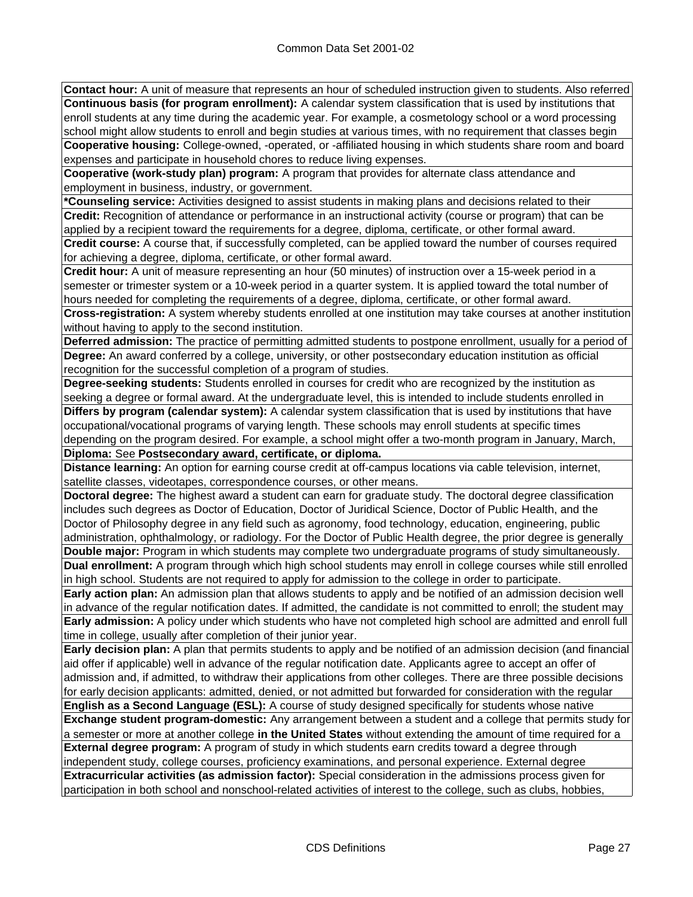**Contact hour:** A unit of measure that represents an hour of scheduled instruction given to students. Also referred **Continuous basis (for program enrollment):** A calendar system classification that is used by institutions that enroll students at any time during the academic year. For example, a cosmetology school or a word processing school might allow students to enroll and begin studies at various times, with no requirement that classes begin **Cooperative housing:** College-owned, -operated, or -affiliated housing in which students share room and board expenses and participate in household chores to reduce living expenses.

**Cooperative (work-study plan) program:** A program that provides for alternate class attendance and employment in business, industry, or government.

**\*Counseling service:** Activities designed to assist students in making plans and decisions related to their **Credit:** Recognition of attendance or performance in an instructional activity (course or program) that can be applied by a recipient toward the requirements for a degree, diploma, certificate, or other formal award.

**Credit course:** A course that, if successfully completed, can be applied toward the number of courses required for achieving a degree, diploma, certificate, or other formal award.

**Credit hour:** A unit of measure representing an hour (50 minutes) of instruction over a 15-week period in a semester or trimester system or a 10-week period in a quarter system. It is applied toward the total number of hours needed for completing the requirements of a degree, diploma, certificate, or other formal award.

**Cross-registration:** A system whereby students enrolled at one institution may take courses at another institution without having to apply to the second institution.

**Deferred admission:** The practice of permitting admitted students to postpone enrollment, usually for a period of **Degree:** An award conferred by a college, university, or other postsecondary education institution as official recognition for the successful completion of a program of studies.

**Degree-seeking students:** Students enrolled in courses for credit who are recognized by the institution as seeking a degree or formal award. At the undergraduate level, this is intended to include students enrolled in

**Differs by program (calendar system):** A calendar system classification that is used by institutions that have occupational/vocational programs of varying length. These schools may enroll students at specific times depending on the program desired. For example, a school might offer a two-month program in January, March, **Diploma:** See **Postsecondary award, certificate, or diploma.**

**Distance learning:** An option for earning course credit at off-campus locations via cable television, internet, satellite classes, videotapes, correspondence courses, or other means.

**Doctoral degree:** The highest award a student can earn for graduate study. The doctoral degree classification includes such degrees as Doctor of Education, Doctor of Juridical Science, Doctor of Public Health, and the Doctor of Philosophy degree in any field such as agronomy, food technology, education, engineering, public administration, ophthalmology, or radiology. For the Doctor of Public Health degree, the prior degree is generally

**Double major:** Program in which students may complete two undergraduate programs of study simultaneously. **Dual enrollment:** A program through which high school students may enroll in college courses while still enrolled in high school. Students are not required to apply for admission to the college in order to participate.

**Early action plan:** An admission plan that allows students to apply and be notified of an admission decision well in advance of the regular notification dates. If admitted, the candidate is not committed to enroll; the student may **Early admission:** A policy under which students who have not completed high school are admitted and enroll full time in college, usually after completion of their junior year.

**Early decision plan:** A plan that permits students to apply and be notified of an admission decision (and financial aid offer if applicable) well in advance of the regular notification date. Applicants agree to accept an offer of admission and, if admitted, to withdraw their applications from other colleges. There are three possible decisions for early decision applicants: admitted, denied, or not admitted but forwarded for consideration with the regular **English as a Second Language (ESL):** A course of study designed specifically for students whose native

**Exchange student program-domestic:** Any arrangement between a student and a college that permits study for a semester or more at another college **in the United States** without extending the amount of time required for a **External degree program:** A program of study in which students earn credits toward a degree through independent study, college courses, proficiency examinations, and personal experience. External degree **Extracurricular activities (as admission factor):** Special consideration in the admissions process given for participation in both school and nonschool-related activities of interest to the college, such as clubs, hobbies,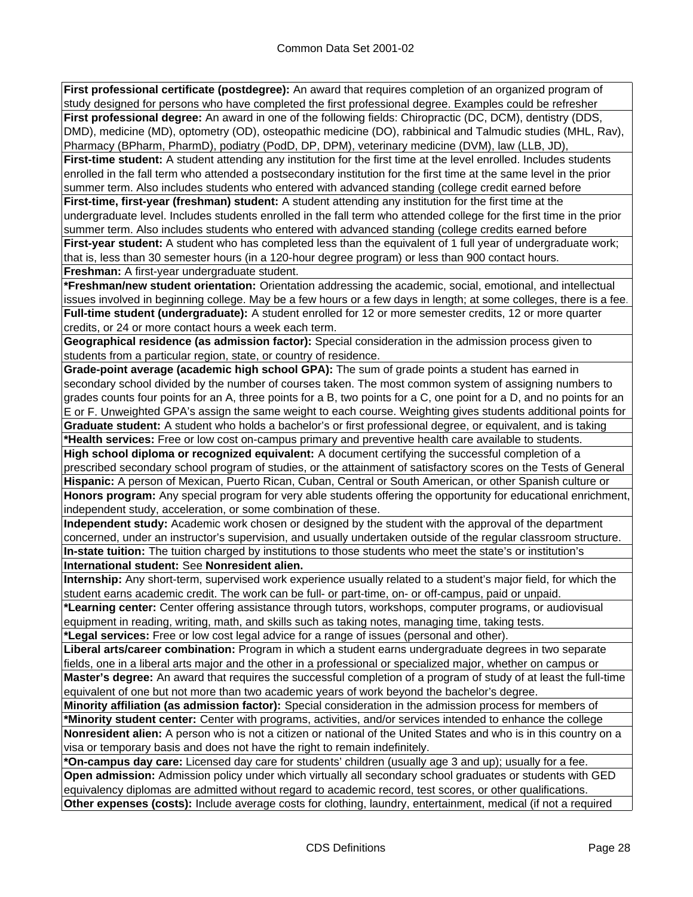**First professional certificate (postdegree):** An award that requires completion of an organized program of study designed for persons who have completed the first professional degree. Examples could be refresher **First professional degree:** An award in one of the following fields: Chiropractic (DC, DCM), dentistry (DDS, DMD), medicine (MD), optometry (OD), osteopathic medicine (DO), rabbinical and Talmudic studies (MHL, Rav), Pharmacy (BPharm, PharmD), podiatry (PodD, DP, DPM), veterinary medicine (DVM), law (LLB, JD),

First-time student: A student attending any institution for the first time at the level enrolled. Includes students enrolled in the fall term who attended a postsecondary institution for the first time at the same level in the prior summer term. Also includes students who entered with advanced standing (college credit earned before

**First-time, first-year (freshman) student:** A student attending any institution for the first time at the undergraduate level. Includes students enrolled in the fall term who attended college for the first time in the prior summer term. Also includes students who entered with advanced standing (college credits earned before **First-year student:** A student who has completed less than the equivalent of 1 full year of undergraduate work;

that is, less than 30 semester hours (in a 120-hour degree program) or less than 900 contact hours. **Freshman:** A first-year undergraduate student.

**\*Freshman/new student orientation:** Orientation addressing the academic, social, emotional, and intellectual issues involved in beginning college. May be a few hours or a few days in length; at some colleges, there is a fee. **Full-time student (undergraduate):** A student enrolled for 12 or more semester credits, 12 or more quarter credits, or 24 or more contact hours a week each term.

**Geographical residence (as admission factor):** Special consideration in the admission process given to students from a particular region, state, or country of residence.

**Grade-point average (academic high school GPA):** The sum of grade points a student has earned in secondary school divided by the number of courses taken. The most common system of assigning numbers to grades counts four points for an A, three points for a B, two points for a C, one point for a D, and no points for an E or F. Unweighted GPA's assign the same weight to each course. Weighting gives students additional points for

**Graduate student:** A student who holds a bachelor's or first professional degree, or equivalent, and is taking **\*Health services:** Free or low cost on-campus primary and preventive health care available to students.

**High school diploma or recognized equivalent:** A document certifying the successful completion of a prescribed secondary school program of studies, or the attainment of satisfactory scores on the Tests of General **Hispanic:** A person of Mexican, Puerto Rican, Cuban, Central or South American, or other Spanish culture or

**Honors program:** Any special program for very able students offering the opportunity for educational enrichment, independent study, acceleration, or some combination of these.

**Independent study:** Academic work chosen or designed by the student with the approval of the department concerned, under an instructor's supervision, and usually undertaken outside of the regular classroom structure. **In-state tuition:** The tuition charged by institutions to those students who meet the state's or institution's **International student:** See **Nonresident alien.**

**Internship:** Any short-term, supervised work experience usually related to a student's major field, for which the student earns academic credit. The work can be full- or part-time, on- or off-campus, paid or unpaid.

**\*Learning center:** Center offering assistance through tutors, workshops, computer programs, or audiovisual equipment in reading, writing, math, and skills such as taking notes, managing time, taking tests.

**\*Legal services:** Free or low cost legal advice for a range of issues (personal and other).

**Liberal arts/career combination:** Program in which a student earns undergraduate degrees in two separate fields, one in a liberal arts major and the other in a professional or specialized major, whether on campus or **Master's degree:** An award that requires the successful completion of a program of study of at least the full-time equivalent of one but not more than two academic years of work beyond the bachelor's degree.

**Minority affiliation (as admission factor):** Special consideration in the admission process for members of **\*Minority student center:** Center with programs, activities, and/or services intended to enhance the college

**Nonresident alien:** A person who is not a citizen or national of the United States and who is in this country on a visa or temporary basis and does not have the right to remain indefinitely.

**\*On-campus day care:** Licensed day care for students' children (usually age 3 and up); usually for a fee. **Open admission:** Admission policy under which virtually all secondary school graduates or students with GED equivalency diplomas are admitted without regard to academic record, test scores, or other qualifications.

**Other expenses (costs):** Include average costs for clothing, laundry, entertainment, medical (if not a required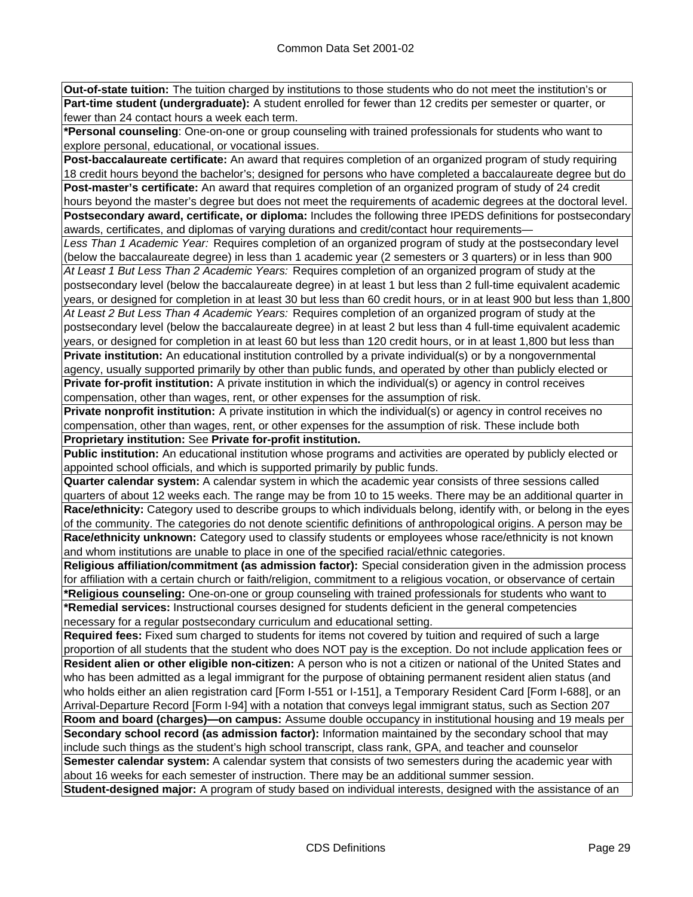**Out-of-state tuition:** The tuition charged by institutions to those students who do not meet the institution's or **Part-time student (undergraduate):** A student enrolled for fewer than 12 credits per semester or quarter, or fewer than 24 contact hours a week each term.

**\*Personal counseling**: One-on-one or group counseling with trained professionals for students who want to explore personal, educational, or vocational issues.

**Post-baccalaureate certificate:** An award that requires completion of an organized program of study requiring 18 credit hours beyond the bachelor's; designed for persons who have completed a baccalaureate degree but do **Post-master's certificate:** An award that requires completion of an organized program of study of 24 credit hours beyond the master's degree but does not meet the requirements of academic degrees at the doctoral level.

**Postsecondary award, certificate, or diploma:** Includes the following three IPEDS definitions for postsecondary awards, certificates, and diplomas of varying durations and credit/contact hour requirements—

*Less Than 1 Academic Year:* Requires completion of an organized program of study at the postsecondary level (below the baccalaureate degree) in less than 1 academic year (2 semesters or 3 quarters) or in less than 900 *At Least 1 But Less Than 2 Academic Years:* Requires completion of an organized program of study at the postsecondary level (below the baccalaureate degree) in at least 1 but less than 2 full-time equivalent academic years, or designed for completion in at least 30 but less than 60 credit hours, or in at least 900 but less than 1,800

*At Least 2 But Less Than 4 Academic Years:* Requires completion of an organized program of study at the postsecondary level (below the baccalaureate degree) in at least 2 but less than 4 full-time equivalent academic years, or designed for completion in at least 60 but less than 120 credit hours, or in at least 1,800 but less than

**Private institution:** An educational institution controlled by a private individual(s) or by a nongovernmental agency, usually supported primarily by other than public funds, and operated by other than publicly elected or **Private for-profit institution:** A private institution in which the individual(s) or agency in control receives compensation, other than wages, rent, or other expenses for the assumption of risk.

**Private nonprofit institution:** A private institution in which the individual(s) or agency in control receives no compensation, other than wages, rent, or other expenses for the assumption of risk. These include both **Proprietary institution:** See **Private for-profit institution.**

**Public institution:** An educational institution whose programs and activities are operated by publicly elected or appointed school officials, and which is supported primarily by public funds.

**Quarter calendar system:** A calendar system in which the academic year consists of three sessions called quarters of about 12 weeks each. The range may be from 10 to 15 weeks. There may be an additional quarter in **Race/ethnicity:** Category used to describe groups to which individuals belong, identify with, or belong in the eyes of the community. The categories do not denote scientific definitions of anthropological origins. A person may be **Race/ethnicity unknown:** Category used to classify students or employees whose race/ethnicity is not known and whom institutions are unable to place in one of the specified racial/ethnic categories.

**Religious affiliation/commitment (as admission factor):** Special consideration given in the admission process for affiliation with a certain church or faith/religion, commitment to a religious vocation, or observance of certain **\*Religious counseling:** One-on-one or group counseling with trained professionals for students who want to

**\*Remedial services:** Instructional courses designed for students deficient in the general competencies necessary for a regular postsecondary curriculum and educational setting.

**Required fees:** Fixed sum charged to students for items not covered by tuition and required of such a large proportion of all students that the student who does NOT pay is the exception. Do not include application fees or

**Resident alien or other eligible non-citizen:** A person who is not a citizen or national of the United States and who has been admitted as a legal immigrant for the purpose of obtaining permanent resident alien status (and who holds either an alien registration card [Form I-551 or I-151], a Temporary Resident Card [Form I-688], or an Arrival-Departure Record [Form I-94] with a notation that conveys legal immigrant status, such as Section 207

**Room and board (charges)—on campus:** Assume double occupancy in institutional housing and 19 meals per **Secondary school record (as admission factor):** Information maintained by the secondary school that may include such things as the student's high school transcript, class rank, GPA, and teacher and counselor **Semester calendar system:** A calendar system that consists of two semesters during the academic year with

about 16 weeks for each semester of instruction. There may be an additional summer session.

**Student-designed major:** A program of study based on individual interests, designed with the assistance of an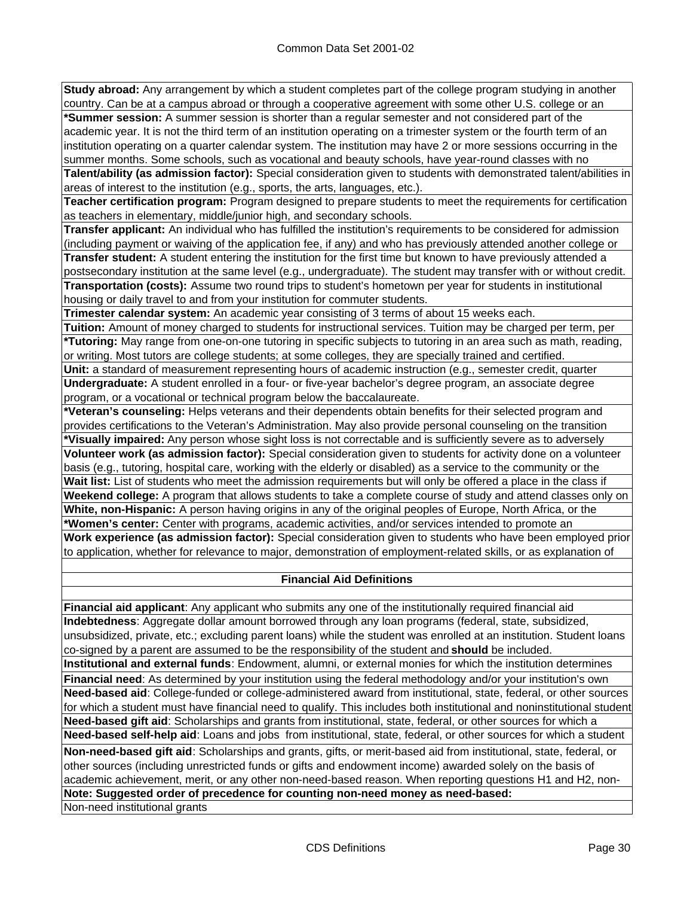**Study abroad:** Any arrangement by which a student completes part of the college program studying in another country. Can be at a campus abroad or through a cooperative agreement with some other U.S. college or an **\*Summer session:** A summer session is shorter than a regular semester and not considered part of the academic year. It is not the third term of an institution operating on a trimester system or the fourth term of an institution operating on a quarter calendar system. The institution may have 2 or more sessions occurring in the summer months. Some schools, such as vocational and beauty schools, have year-round classes with no

**Talent/ability (as admission factor):** Special consideration given to students with demonstrated talent/abilities in areas of interest to the institution (e.g., sports, the arts, languages, etc.).

**Teacher certification program:** Program designed to prepare students to meet the requirements for certification as teachers in elementary, middle/junior high, and secondary schools.

**Transfer applicant:** An individual who has fulfilled the institution's requirements to be considered for admission (including payment or waiving of the application fee, if any) and who has previously attended another college or **Transfer student:** A student entering the institution for the first time but known to have previously attended a postsecondary institution at the same level (e.g., undergraduate). The student may transfer with or without credit. **Transportation (costs):** Assume two round trips to student's hometown per year for students in institutional housing or daily travel to and from your institution for commuter students.

**Trimester calendar system:** An academic year consisting of 3 terms of about 15 weeks each.

**Tuition:** Amount of money charged to students for instructional services. Tuition may be charged per term, per **\*Tutoring:** May range from one-on-one tutoring in specific subjects to tutoring in an area such as math, reading, or writing. Most tutors are college students; at some colleges, they are specially trained and certified.

**Unit:** a standard of measurement representing hours of academic instruction (e.g., semester credit, quarter **Undergraduate:** A student enrolled in a four- or five-year bachelor's degree program, an associate degree program, or a vocational or technical program below the baccalaureate.

**\*Veteran's counseling:** Helps veterans and their dependents obtain benefits for their selected program and provides certifications to the Veteran's Administration. May also provide personal counseling on the transition **\*Visually impaired:** Any person whose sight loss is not correctable and is sufficiently severe as to adversely **Volunteer work (as admission factor):** Special consideration given to students for activity done on a volunteer basis (e.g., tutoring, hospital care, working with the elderly or disabled) as a service to the community or the **Wait list:** List of students who meet the admission requirements but will only be offered a place in the class if **Weekend college:** A program that allows students to take a complete course of study and attend classes only on **White, non-Hispanic:** A person having origins in any of the original peoples of Europe, North Africa, or the **\*Women's center:** Center with programs, academic activities, and/or services intended to promote an **Work experience (as admission factor):** Special consideration given to students who have been employed prior to application, whether for relevance to major, demonstration of employment-related skills, or as explanation of

### **Financial Aid Definitions**

**Financial aid applicant**: Any applicant who submits any one of the institutionally required financial aid **Indebtedness**: Aggregate dollar amount borrowed through any loan programs (federal, state, subsidized, unsubsidized, private, etc.; excluding parent loans) while the student was enrolled at an institution. Student loans co-signed by a parent are assumed to be the responsibility of the student and **should** be included. **Institutional and external funds**: Endowment, alumni, or external monies for which the institution determines **Financial need**: As determined by your institution using the federal methodology and/or your institution's own **Need-based aid**: College-funded or college-administered award from institutional, state, federal, or other sources for which a student must have financial need to qualify. This includes both institutional and noninstitutional student **Need-based gift aid**: Scholarships and grants from institutional, state, federal, or other sources for which a **Need-based self-help aid**: Loans and jobs from institutional, state, federal, or other sources for which a student **Non-need-based gift aid**: Scholarships and grants, gifts, or merit-based aid from institutional, state, federal, or other sources (including unrestricted funds or gifts and endowment income) awarded solely on the basis of academic achievement, merit, or any other non-need-based reason. When reporting questions H1 and H2, non-**Note: Suggested order of precedence for counting non-need money as need-based:**

Non-need institutional grants